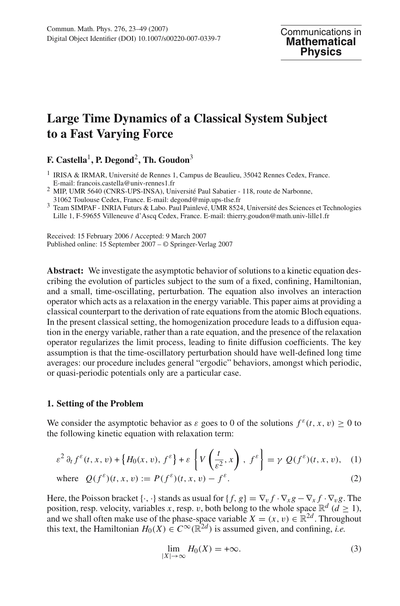# **Large Time Dynamics of a Classical System Subject to a Fast Varying Force**

**F. Castella**1**, P. Degond**2**, Th. Goudon**<sup>3</sup>

<sup>2</sup> MIP, UMR 5640 (CNRS-UPS-INSA), Université Paul Sabatier - 118, route de Narbonne, 31062 Toulouse Cedex, France. E-mail: degond@mip.ups-tlse.fr

Received: 15 February 2006 / Accepted: 9 March 2007 Published online: 15 September 2007 – © Springer-Verlag 2007

**Abstract:** We investigate the asymptotic behavior of solutions to a kinetic equation describing the evolution of particles subject to the sum of a fixed, confining, Hamiltonian, and a small, time-oscillating, perturbation. The equation also involves an interaction operator which acts as a relaxation in the energy variable. This paper aims at providing a classical counterpart to the derivation of rate equations from the atomic Bloch equations. In the present classical setting, the homogenization procedure leads to a diffusion equation in the energy variable, rather than a rate equation, and the presence of the relaxation operator regularizes the limit process, leading to finite diffusion coefficients. The key assumption is that the time-oscillatory perturbation should have well-defined long time averages: our procedure includes general "ergodic" behaviors, amongst which periodic, or quasi-periodic potentials only are a particular case.

# **1. Setting of the Problem**

We consider the asymptotic behavior as  $\varepsilon$  goes to 0 of the solutions  $f^{\varepsilon}(t, x, v) > 0$  to the following kinetic equation with relaxation term:

$$
\varepsilon^2 \partial_t f^\varepsilon(t, x, v) + \left\{ H_0(x, v), f^\varepsilon \right\} + \varepsilon \left\{ V\left(\frac{t}{\varepsilon^2}, x\right), f^\varepsilon \right\} = \gamma \ Q(f^\varepsilon)(t, x, v), \quad (1)
$$

where 
$$
Q(f^{\varepsilon})(t, x, v) := P(f^{\varepsilon})(t, x, v) - f^{\varepsilon}
$$
. (2)

Here, the Poisson bracket  $\{\cdot, \cdot\}$  stands as usual for  $\{f, g\} = \nabla_v f \cdot \nabla_x g - \nabla_x f \cdot \nabla_v g$ . The position, resp. velocity, variables *x*, resp. *v*, both belong to the whole space  $\mathbb{R}^d$  (*d*  $\geq$  1), and we shall often make use of the phase-space variable  $X = (x, v) \in \mathbb{R}^{2d}$ . Throughout this text, the Hamiltonian  $H_0(X) \in C^\infty(\mathbb{R}^{2d})$  is assumed given, and confining, *i.e.* 

$$
\lim_{|X| \to \infty} H_0(X) = +\infty. \tag{3}
$$

<sup>1</sup> IRISA & IRMAR, Université de Rennes 1, Campus de Beaulieu, 35042 Rennes Cedex, France. E-mail: francois.castella@univ-rennes1.fr

<sup>&</sup>lt;sup>3</sup> Team SIMPAF - INRIA Futurs & Labo. Paul Painlevé, UMR 8524, Université des Sciences et Technologies Lille 1, F-59655 Villeneuve d'Ascq Cedex, France. E-mail: thierry.goudon@math.univ-lille1.fr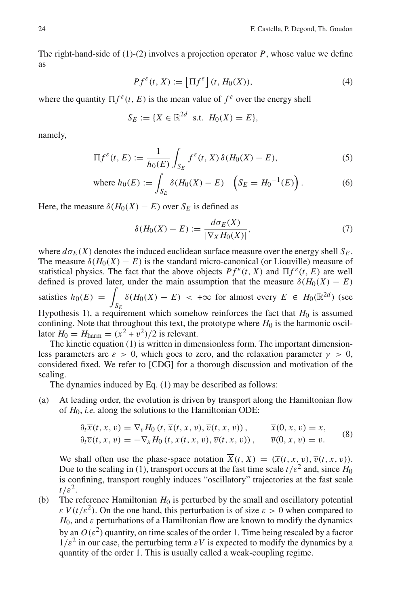The right-hand-side of  $(1)-(2)$  involves a projection operator  $P$ , whose value we define as

$$
Pf^{\varepsilon}(t, X) := \left[\Pi f^{\varepsilon}\right](t, H_0(X)),\tag{4}
$$

where the quantity  $\prod f^{\varepsilon}(t, E)$  is the mean value of  $f^{\varepsilon}$  over the energy shell

$$
S_E := \{ X \in \mathbb{R}^{2d} \text{ s.t. } H_0(X) = E \},
$$

namely,

$$
\Pi f^{\varepsilon}(t, E) := \frac{1}{h_0(E)} \int_{S_E} f^{\varepsilon}(t, X) \, \delta(H_0(X) - E), \tag{5}
$$

where 
$$
h_0(E) := \int_{S_E} \delta(H_0(X) - E) \left( S_E = H_0^{-1}(E) \right)
$$
. (6)

Here, the measure  $\delta(H_0(X) - E)$  over  $S_E$  is defined as

$$
\delta(H_0(X) - E) := \frac{d\sigma_E(X)}{|\nabla_X H_0(X)|},\tag{7}
$$

where  $d\sigma_F(X)$  denotes the induced euclidean surface measure over the energy shell  $S_F$ . The measure  $\delta(H_0(X) - E)$  is the standard micro-canonical (or Liouville) measure of statistical physics. The fact that the above objects  $Pf^{\varepsilon}(t, X)$  and  $\Pi f^{\varepsilon}(t, E)$  are well defined is proved later, under the main assumption that the measure  $\delta(H_0(X) - E)$ satisfies  $h_0(E) =$ *SE*  $\delta(H_0(X) - E)$  < + $\infty$  for almost every  $E \in H_0(\mathbb{R}^{2d})$  (see Hypothesis 1), a requirement which somehow reinforces the fact that  $H_0$  is assumed confining. Note that throughout this text, the prototype where  $H_0$  is the harmonic oscillator  $H_0 = H_{\text{harm}} = (x^2 + v^2)/2$  is relevant.

The kinetic equation (1) is written in dimensionless form. The important dimensionless parameters are  $\varepsilon > 0$ , which goes to zero, and the relaxation parameter  $\gamma > 0$ , considered fixed. We refer to [CDG] for a thorough discussion and motivation of the scaling.

The dynamics induced by Eq. (1) may be described as follows:

(a) At leading order, the evolution is driven by transport along the Hamiltonian flow of *H*0, *i.e.* along the solutions to the Hamiltonian ODE:

$$
\partial_t \overline{x}(t, x, v) = \nabla_v H_0(t, \overline{x}(t, x, v), \overline{v}(t, x, v)), \qquad \overline{x}(0, x, v) = x,\n\partial_t \overline{v}(t, x, v) = -\nabla_x H_0(t, \overline{x}(t, x, v), \overline{v}(t, x, v)), \qquad \overline{v}(0, x, v) = v.
$$
\n(8)

We shall often use the phase-space notation  $\overline{X}(t, X) = (\overline{x}(t, x, v), \overline{v}(t, x, v))$ . Due to the scaling in (1), transport occurs at the fast time scale  $t/\varepsilon^2$  and, since  $H_0$ is confining, transport roughly induces "oscillatory" trajectories at the fast scale  $t/\varepsilon^2$ .

(b) The reference Hamiltonian  $H_0$  is perturbed by the small and oscillatory potential  $\epsilon V(t/\epsilon^2)$ . On the one hand, this perturbation is of size  $\epsilon > 0$  when compared to  $H_0$ , and  $\varepsilon$  perturbations of a Hamiltonian flow are known to modify the dynamics by an  $O(\varepsilon^2)$  quantity, on time scales of the order 1. Time being rescaled by a factor  $1/\varepsilon^2$  in our case, the perturbing term  $\varepsilon V$  is expected to modify the dynamics by a quantity of the order 1. This is usually called a weak-coupling regime.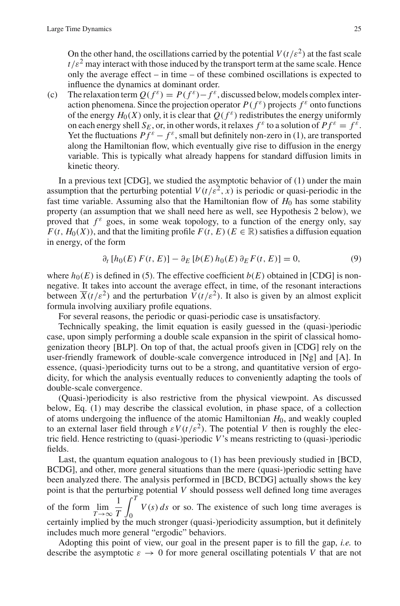On the other hand, the oscillations carried by the potential  $V(t/\varepsilon^2)$  at the fast scale  $t/\varepsilon^2$  may interact with those induced by the transport term at the same scale. Hence only the average effect – in time – of these combined oscillations is expected to influence the dynamics at dominant order.

(c) The relaxation term  $Q(f^{\varepsilon}) = P(f^{\varepsilon}) - f^{\varepsilon}$ , discussed below, models complex interaction phenomena. Since the projection operator  $P(f^{\varepsilon})$  projects  $f^{\varepsilon}$  onto functions of the energy  $H_0(X)$  only, it is clear that  $Q(f^{\varepsilon})$  redistributes the energy uniformly on each energy shell  $S_E$ , or, in other words, it relaxes  $f^{\varepsilon}$  to a solution of  $Pf^{\varepsilon} = f^{\varepsilon}$ . Yet the fluctuations  $Pf^{\varepsilon} - f^{\varepsilon}$ , small but definitely non-zero in (1), are transported along the Hamiltonian flow, which eventually give rise to diffusion in the energy variable. This is typically what already happens for standard diffusion limits in kinetic theory.

In a previous text  $[CDG]$ , we studied the asymptotic behavior of  $(1)$  under the main assumption that the perturbing potential  $V(t/\varepsilon^2, x)$  is periodic or quasi-periodic in the fast time variable. Assuming also that the Hamiltonian flow of *H*<sup>0</sup> has some stability property (an assumption that we shall need here as well, see Hypothesis 2 below), we proved that  $f^{\varepsilon}$  goes, in some weak topology, to a function of the energy only, say  $F(t, H_0(X))$ , and that the limiting profile  $F(t, E)$  ( $E \in \mathbb{R}$ ) satisfies a diffusion equation in energy, of the form

$$
\partial_t [h_0(E) F(t, E)] - \partial_E [b(E) h_0(E) \partial_E F(t, E)] = 0,\tag{9}
$$

where  $h_0(E)$  is defined in (5). The effective coefficient  $b(E)$  obtained in [CDG] is nonnegative. It takes into account the average effect, in time, of the resonant interactions between  $\overline{X}(t/\varepsilon^2)$  and the perturbation  $V(t/\varepsilon^2)$ . It also is given by an almost explicit formula involving auxiliary profile equations.

For several reasons, the periodic or quasi-periodic case is unsatisfactory.

Technically speaking, the limit equation is easily guessed in the (quasi-)periodic case, upon simply performing a double scale expansion in the spirit of classical homogenization theory [BLP]. On top of that, the actual proofs given in [CDG] rely on the user-friendly framework of double-scale convergence introduced in [Ng] and [A]. In essence, (quasi-)periodicity turns out to be a strong, and quantitative version of ergodicity, for which the analysis eventually reduces to conveniently adapting the tools of double-scale convergence.

(Quasi-)periodicity is also restrictive from the physical viewpoint. As discussed below, Eq. (1) may describe the classical evolution, in phase space, of a collection of atoms undergoing the influence of the atomic Hamiltonian  $H_0$ , and weakly coupled to an external laser field through  $\epsilon V(t/\epsilon^2)$ . The potential *V* then is roughly the electric field. Hence restricting to (quasi-)periodic *V*'s means restricting to (quasi-)periodic fields.

Last, the quantum equation analogous to (1) has been previously studied in [BCD, BCDG], and other, more general situations than the mere (quasi-)periodic setting have been analyzed there. The analysis performed in [BCD, BCDG] actually shows the key point is that the perturbing potential *V* should possess well defined long time averages of the form  $\lim_{T \to \infty}$ 1 *T*  $\int_0^T$  $\mathbf{0}$  $V(s)$  *ds* or so. The existence of such long time averages is certainly implied by the much stronger (quasi-)periodicity assumption, but it definitely includes much more general "ergodic" behaviors.

Adopting this point of view, our goal in the present paper is to fill the gap, *i.e.* to describe the asymptotic  $\varepsilon \to 0$  for more general oscillating potentials V that are not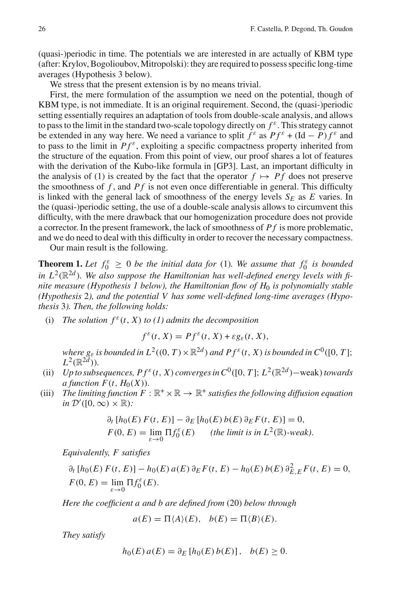(quasi-)periodic in time. The potentials we are interested in are actually of KBM type (after: Krylov, Bogolioubov, Mitropolski): they are required to possess specific long-time averages (Hypothesis 3 below).

We stress that the present extension is by no means trivial.

First, the mere formulation of the assumption we need on the potential, though of KBM type, is not immediate. It is an original requirement. Second, the (quasi-)periodic setting essentially requires an adaptation of tools from double-scale analysis, and allows to pass to the limit in the standard two-scale topology directly on  $f^{\varepsilon}$ . This strategy cannot be extended in any way here. We need a variance to split  $f^{\varepsilon}$  as  $P f^{\varepsilon} + (\text{Id} - P) f^{\varepsilon}$  and to pass to the limit in  $Pf^{\varepsilon}$ , exploiting a specific compactness property inherited from the structure of the equation. From this point of view, our proof shares a lot of features with the derivation of the Kubo-like formula in [GP3]. Last, an important difficulty in the analysis of (1) is created by the fact that the operator  $f \mapsto Pf$  does not preserve the smoothness of *f* , and *P f* is not even once differentiable in general. This difficulty is linked with the general lack of smoothness of the energy levels  $S_E$  as  $E$  varies. In the (quasi-)periodic setting, the use of a double-scale analysis allows to circumvent this difficulty, with the mere drawback that our homogenization procedure does not provide a corrector. In the present framework, the lack of smoothness of *P f* is more problematic, and we do need to deal with this difficulty in order to recover the necessary compactness.

Our main result is the following.

**Theorem 1.** Let  $f_0^{\varepsilon} \geq 0$  be the initial data for (1). We assume that  $f_0^{\varepsilon}$  is bounded in  $L^2(\mathbb{R}^{2d})$ . We also suppose the Hamiltonian has well-defined energy levels with fi*nite measure (Hypothesis 1 below), the Hamiltonian flow of H*<sup>0</sup> *is polynomially stable (Hypothesis* 2*), and the potential V has some well-defined long-time averages (Hypothesis* 3*). Then, the following holds:*

(i) *The solution*  $f^{\varepsilon}(t, X)$  *to* (1) admits the decomposition

$$
f^{\varepsilon}(t, X) = Pf^{\varepsilon}(t, X) + \varepsilon g_{\varepsilon}(t, X),
$$

*where*  $g_{\varepsilon}$  *is bounded in*  $L^2((0, T) \times \mathbb{R}^{2d})$  *and*  $Pf^{\varepsilon}(t, X)$  *is bounded in*  $C^0([0, T];$  $L^2(\mathbb{R}^{2d})$ .

- (ii) *Up to subsequences,*  $P f^{\varepsilon}(t, X)$  *converges in*  $C^0([0, T]; L^2(\mathbb{R}^{2d})$  *weak) <i>towards a* function  $F(t, H_0(X))$ .
- (iii) *The limiting function*  $F : \mathbb{R}^+ \times \mathbb{R} \to \mathbb{R}^+$  *satisfies the following diffusion equation in*  $\mathcal{D}'([0,\infty)\times\mathbb{R})$ *:*

$$
\partial_t [h_0(E) F(t, E)] - \partial_E [h_0(E) b(E) \partial_E F(t, E)] = 0,
$$
  
 
$$
F(0, E) = \lim_{\varepsilon \to 0} \Pi f_0^{\varepsilon}(E) \qquad \text{(the limit is in } L^2(\mathbb{R})\text{-weak)}.
$$

*Equivalently, F satisfies*

 $\partial_t [h_0(E) F(t, E)] - h_0(E) a(E) \partial_E F(t, E) - h_0(E) b(E) \partial_{E,E}^2 F(t, E) = 0,$  $F(0, E) = \lim_{\varepsilon \to 0} \Pi f_0^{\varepsilon}(E).$ 

*Here the coefficient a and b are defined from* (20) *below through*

 $a(E) = \Pi \langle A \rangle(E), \quad b(E) = \Pi \langle B \rangle(E).$ 

*They satisfy*

$$
h_0(E) a(E) = \partial_E [h_0(E) b(E)], \quad b(E) \ge 0.
$$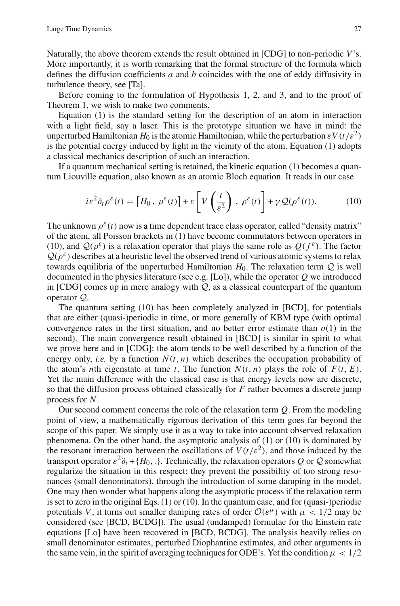Naturally, the above theorem extends the result obtained in [CDG] to non-periodic *V*'s. More importantly, it is worth remarking that the formal structure of the formula which defines the diffusion coefficients *a* and *b* coincides with the one of eddy diffusivity in turbulence theory, see [Ta].

Before coming to the formulation of Hypothesis 1, 2, and 3, and to the proof of Theorem 1, we wish to make two comments.

Equation (1) is the standard setting for the description of an atom in interaction with a light field, say a laser. This is the prototype situation we have in mind: the unperturbed Hamiltonian  $H_0$  is the atomic Hamiltonian, while the perturbation  $\epsilon V(t/\epsilon^2)$ is the potential energy induced by light in the vicinity of the atom. Equation (1) adopts a classical mechanics description of such an interaction.

If a quantum mechanical setting is retained, the kinetic equation (1) becomes a quantum Liouville equation, also known as an atomic Bloch equation. It reads in our case

$$
i\varepsilon^2 \partial_t \rho^\varepsilon(t) = \left[ H_0 \, , \, \rho^\varepsilon(t) \right] + \varepsilon \left[ V \left( \frac{t}{\varepsilon^2} \right) \, , \, \rho^\varepsilon(t) \right] + \gamma \mathcal{Q}(\rho^\varepsilon(t)). \tag{10}
$$

The unknown  $\rho^{\epsilon}(t)$  now is a time dependent trace class operator, called "density matrix" of the atom, all Poisson brackets in (1) have become commutators between operators in (10), and  $\mathcal{Q}(\rho^{\varepsilon})$  is a relaxation operator that plays the same role as  $O(f^{\varepsilon})$ . The factor  $Q(\rho^{\varepsilon})$  describes at a heuristic level the observed trend of various atomic systems to relax towards equilibria of the unperturbed Hamiltonian  $H_0$ . The relaxation term  $Q$  is well documented in the physics literature (see e.g. [Lo]), while the operator *Q* we introduced in [CDG] comes up in mere analogy with *Q*, as a classical counterpart of the quantum operator *Q*.

The quantum setting (10) has been completely analyzed in [BCD], for potentials that are either (quasi-)periodic in time, or more generally of KBM type (with optimal convergence rates in the first situation, and no better error estimate than  $o(1)$  in the second). The main convergence result obtained in [BCD] is similar in spirit to what we prove here and in [CDG]: the atom tends to be well described by a function of the energy only, *i.e.* by a function  $N(t, n)$  which describes the occupation probability of the atom's *n*th eigenstate at time *t*. The function  $N(t, n)$  plays the role of  $F(t, E)$ . Yet the main difference with the classical case is that energy levels now are discrete, so that the diffusion process obtained classically for *F* rather becomes a discrete jump process for *N*.

Our second comment concerns the role of the relaxation term *Q*. From the modeling point of view, a mathematically rigorous derivation of this term goes far beyond the scope of this paper. We simply use it as a way to take into account observed relaxation phenomena. On the other hand, the asymptotic analysis of (1) or (10) is dominated by the resonant interaction between the oscillations of  $V(t/\varepsilon^2)$ , and those induced by the transport operator  $\varepsilon^2 \partial_t + \{H_0, \cdot\}$ . Technically, the relaxation operators *Q* or *Q* somewhat regularize the situation in this respect: they prevent the possibility of too strong resonances (small denominators), through the introduction of some damping in the model. One may then wonder what happens along the asymptotic process if the relaxation term is set to zero in the original Eqs.  $(1)$  or  $(10)$ . In the quantum case, and for (quasi-)periodic potentials *V*, it turns out smaller damping rates of order  $\mathcal{O}(\varepsilon^{\mu})$  with  $\mu < 1/2$  may be considered (see [BCD, BCDG]). The usual (undamped) formulae for the Einstein rate equations [Lo] have been recovered in [BCD, BCDG]. The analysis heavily relies on small denominator estimates, perturbed Diophantine estimates, and other arguments in the same vein, in the spirit of averaging techniques for ODE's. Yet the condition  $\mu < 1/2$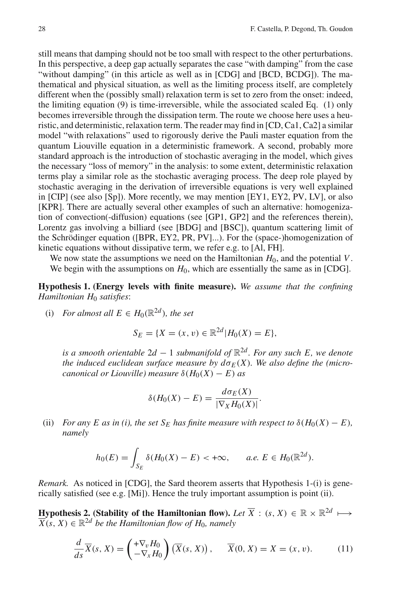still means that damping should not be too small with respect to the other perturbations. In this perspective, a deep gap actually separates the case "with damping" from the case "without damping" (in this article as well as in [CDG] and [BCD, BCDG]). The mathematical and physical situation, as well as the limiting process itself, are completely different when the (possibly small) relaxation term is set to zero from the onset: indeed, the limiting equation (9) is time-irreversible, while the associated scaled Eq. (1) only becomes irreversible through the dissipation term. The route we choose here uses a heuristic, and deterministic, relaxation term. The reader may find in [CD, Ca1, Ca2] a similar model "with relaxations" used to rigorously derive the Pauli master equation from the quantum Liouville equation in a deterministic framework. A second, probably more standard approach is the introduction of stochastic averaging in the model, which gives the necessary "loss of memory" in the analysis: to some extent, deterministic relaxation terms play a similar role as the stochastic averaging process. The deep role played by stochastic averaging in the derivation of irreversible equations is very well explained in [CIP] (see also [Sp]). More recently, we may mention [EY1, EY2, PV, LV], or also [KPR]. There are actually several other examples of such an alternative: homogenization of convection(-diffusion) equations (see [GP1, GP2] and the references therein), Lorentz gas involving a billiard (see [BDG] and [BSC]), quantum scattering limit of the Schrödinger equation ([BPR, EY2, PR, PV]...). For the (space-)homogenization of kinetic equations without dissipative term, we refer e.g. to [Al, FH].

We now state the assumptions we need on the Hamiltonian  $H_0$ , and the potential  $V$ . We begin with the assumptions on  $H_0$ , which are essentially the same as in [CDG].

**Hypothesis 1. (Energy levels with finite measure).** *We assume that the confining Hamiltonian H*<sup>0</sup> *satisfies*:

(i) *For almost all*  $E \in H_0(\mathbb{R}^{2d})$ *, the set* 

$$
S_E = \{ X = (x, v) \in \mathbb{R}^{2d} | H_0(X) = E \},
$$

*is a smooth orientable*  $2d - 1$  *submanifold of*  $\mathbb{R}^{2d}$ *. For any such E, we denote the induced euclidean surface measure by*  $d\sigma_E(X)$ *. We also define the (microcanonical or Liouville) measure*  $\delta(H_0(X) - E)$  *as* 

$$
\delta(H_0(X) - E) = \frac{d\sigma_E(X)}{|\nabla_X H_0(X)|}.
$$

(ii) *For any E as in (i), the set*  $S_E$  *has finite measure with respect to*  $\delta(H_0(X) - E)$ *, namely*

$$
h_0(E) = \int_{S_E} \delta(H_0(X) - E) < +\infty, \qquad a.e. \ E \in H_0(\mathbb{R}^{2d}).
$$

*Remark.* As noticed in [CDG], the Sard theorem asserts that Hypothesis 1-(i) is generically satisfied (see e.g. [Mi]). Hence the truly important assumption is point (ii).

**Hypothesis 2. (Stability of the Hamiltonian flow).** *Let*  $\overline{X}$  :  $(s, X) \in \mathbb{R} \times \mathbb{R}^{2d} \mapsto$  $\overline{X}(s, X) \in \mathbb{R}^{2d}$  *be the Hamiltonian flow of H*<sub>0</sub>*, namely* 

$$
\frac{d}{ds}\overline{X}(s,X) = \begin{pmatrix} +\nabla_v H_0 \\ -\nabla_x H_0 \end{pmatrix} (\overline{X}(s,X)), \quad \overline{X}(0,X) = X = (x,v). \quad (11)
$$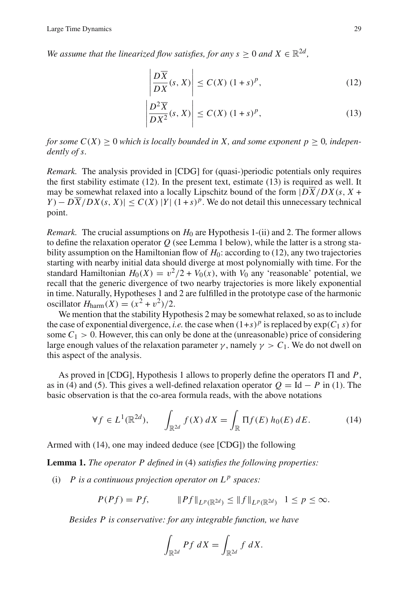*We assume that the linearized flow satisfies, for any s*  $> 0$  *and*  $X \in \mathbb{R}^{2d}$ *,* 

$$
\left| \frac{D\overline{X}}{DX}(s, X) \right| \le C(X) (1+s)^p,
$$
\n(12)

$$
\left| \frac{D^2 \overline{X}}{DX^2}(s, X) \right| \le C(X) (1+s)^p,
$$
\n(13)

*for some*  $C(X) \geq 0$  *which is locally bounded in* X, and some exponent  $p \geq 0$ *, independently of s.*

*Remark.* The analysis provided in [CDG] for (quasi-)periodic potentials only requires the first stability estimate (12). In the present text, estimate (13) is required as well. It may be somewhat relaxed into a locally Lipschitz bound of the form  $|D\overline{X}/DX(s, X +$  $Y - D\overline{X}/DX(s, X)| \leq C(X) |Y| (1+s)^p$ . We do not detail this unnecessary technical point.

*Remark.* The crucial assumptions on  $H_0$  are Hypothesis 1-(ii) and 2. The former allows to define the relaxation operator *Q* (see Lemma 1 below), while the latter is a strong stability assumption on the Hamiltonian flow of *H*<sub>0</sub>: according to (12), any two trajectories starting with nearby initial data should diverge at most polynomially with time. For the standard Hamiltonian  $H_0(X) = v^2/2 + V_0(x)$ , with  $V_0$  any 'reasonable' potential, we recall that the generic divergence of two nearby trajectories is more likely exponential in time. Naturally, Hypotheses 1 and 2 are fulfilled in the prototype case of the harmonic oscillator  $H_{\text{harm}}(X) = (x^2 + v^2)/2$ .

We mention that the stability Hypothesis 2 may be somewhat relaxed, so as to include the case of exponential divergence, *i.e.* the case when  $(1+s)^p$  is replaced by  $\exp(C_1 s)$  for some  $C_1 > 0$ . However, this can only be done at the (unreasonable) price of considering large enough values of the relaxation parameter  $\gamma$ , namely  $\gamma > C_1$ . We do not dwell on this aspect of the analysis.

As proved in [CDG], Hypothesis 1 allows to properly define the operators  $\Pi$  and  $P$ , as in (4) and (5). This gives a well-defined relaxation operator  $O = Id - P$  in (1). The basic observation is that the co-area formula reads, with the above notations

$$
\forall f \in L^{1}(\mathbb{R}^{2d}), \qquad \int_{\mathbb{R}^{2d}} f(X) dX = \int_{\mathbb{R}} \Pi f(E) h_{0}(E) dE. \tag{14}
$$

Armed with (14), one may indeed deduce (see [CDG]) the following

**Lemma 1.** *The operator P defined in* (4) *satisfies the following properties:*

(i)  $P$  *is a continuous projection operator on*  $L^p$  *spaces:* 

$$
P(Pf) = Pf, \t ||Pf||_{L^p(\mathbb{R}^{2d})} \le ||f||_{L^p(\mathbb{R}^{2d})} \t 1 \le p \le \infty.
$$

*Besides P is conservative: for any integrable function, we have*

$$
\int_{\mathbb{R}^{2d}} Pf \ dX = \int_{\mathbb{R}^{2d}} f \ dX.
$$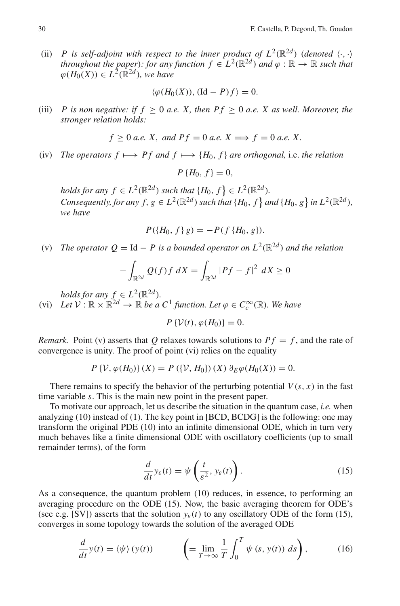(ii) *P* is self-adjoint with respect to the inner product of  $L^2(\mathbb{R}^{2d})$  (denoted  $\langle \cdot, \cdot \rangle$ *throughout the paper*)*: for any function*  $f \in L^2(\mathbb{R}^{2d})$  *and*  $\varphi : \mathbb{R} \to \mathbb{R}$  *such that*  $\varphi(H_0(X)) \in L^2(\mathbb{R}^{2d})$ *, we have* 

$$
\langle \varphi(H_0(X)), (\mathrm{Id} - P)f \rangle = 0.
$$

(iii) *P* is non negative: if  $f \ge 0$  *a.e.* X, then  $Pf \ge 0$  *a.e.* X as well. Moreover, the *stronger relation holds:*

$$
f \ge 0
$$
 a.e. X, and  $Pf = 0$  a.e.  $X \Longrightarrow f = 0$  a.e. X.

(iv) *The operators*  $f \mapsto Pf$  *and*  $f \mapsto \{H_0, f\}$  *are orthogonal, i.e. the relation* 

$$
P\left\{H_0, f\right\} = 0,
$$

*holds for any*  $f \in L^2(\mathbb{R}^{2d})$  *such that*  $\{H_0, f\} \in L^2(\mathbb{R}^{2d})$ *. Consequently, for any*  $f, g \in L^2(\mathbb{R}^{2d})$  *such that*  $\{H_0, f\}$  *and*  $\{H_0, g\}$  *in*  $L^2(\mathbb{R}^{2d})$ *, we have*

$$
P({H_0, f \, g) = -P(f\, {H_0, g}).
$$

(v) *The operator*  $Q = \text{Id} - P$  *is a bounded operator on*  $L^2(\mathbb{R}^{2d})$  *and the relation* 

$$
-\int_{\mathbb{R}^{2d}} Q(f)f\,dX = \int_{\mathbb{R}^{2d}} |Pf - f|^2\,dX \ge 0
$$

*holds for any*  $f \in L^2(\mathbb{R}^{2d})$ *.* 

(vi) *Let*  $V : \mathbb{R} \times \mathbb{R}^{2d} \to \mathbb{R}$  *be a*  $C^1$  *function. Let*  $\varphi \in C_c^{\infty}(\mathbb{R})$ *. We have* 

*P* {*V*(*t*),  $\omega$ (*H*<sub>0</sub>)} = 0.

*Remark.* Point (v) asserts that *Q* relaxes towards solutions to  $Pf = f$ , and the rate of convergence is unity. The proof of point (vi) relies on the equality

$$
P\{\mathcal{V}, \varphi(H_0)\}(X) = P(\{\mathcal{V}, H_0\})(X) \partial_E \varphi(H_0(X)) = 0.
$$

There remains to specify the behavior of the perturbing potential  $V(s, x)$  in the fast time variable *s*. This is the main new point in the present paper.

To motivate our approach, let us describe the situation in the quantum case, *i.e.* when analyzing (10) instead of (1). The key point in [BCD, BCDG] is the following: one may transform the original PDE (10) into an infinite dimensional ODE, which in turn very much behaves like a finite dimensional ODE with oscillatory coefficients (up to small remainder terms), of the form

$$
\frac{d}{dt}y_{\varepsilon}(t) = \psi\left(\frac{t}{\varepsilon^2}, y_{\varepsilon}(t)\right). \tag{15}
$$

As a consequence, the quantum problem (10) reduces, in essence, to performing an averaging procedure on the ODE (15). Now, the basic averaging theorem for ODE's (see e.g. [SV]) asserts that the solution  $y_{\varepsilon}(t)$  to any oscillatory ODE of the form (15), converges in some topology towards the solution of the averaged ODE

$$
\frac{d}{dt}y(t) = \langle \psi \rangle (y(t)) \qquad \left( = \lim_{T \to \infty} \frac{1}{T} \int_0^T \psi (s, y(t)) \, ds \right), \tag{16}
$$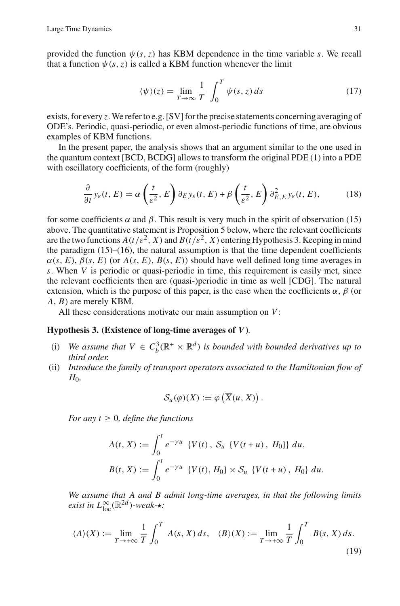provided the function  $\psi(s, z)$  has KBM dependence in the time variable *s*. We recall that a function  $\psi(s, z)$  is called a KBM function whenever the limit

$$
\langle \psi \rangle(z) = \lim_{T \to \infty} \frac{1}{T} \int_0^T \psi(s, z) \, ds \tag{17}
$$

exists, for every *z*. We refer to e.g. [SV] for the precise statements concerning averaging of ODE's. Periodic, quasi-periodic, or even almost-periodic functions of time, are obvious examples of KBM functions.

In the present paper, the analysis shows that an argument similar to the one used in the quantum context [BCD, BCDG] allows to transform the original PDE (1) into a PDE with oscillatory coefficients, of the form (roughly)

$$
\frac{\partial}{\partial t} y_{\varepsilon}(t, E) = \alpha \left( \frac{t}{\varepsilon^2}, E \right) \partial_E y_{\varepsilon}(t, E) + \beta \left( \frac{t}{\varepsilon^2}, E \right) \partial_{E, E}^2 y_{\varepsilon}(t, E), \tag{18}
$$

for some coefficients  $\alpha$  and  $\beta$ . This result is very much in the spirit of observation (15) above. The quantitative statement is Proposition 5 below, where the relevant coefficients are the two functions  $A(t/\varepsilon^2, X)$  and  $B(t/\varepsilon^2, X)$  entering Hypothesis 3. Keeping in mind the paradigm (15)–(16), the natural assumption is that the time dependent coefficients  $\alpha(s, E)$ ,  $\beta(s, E)$  (or  $A(s, E)$ ,  $B(s, E)$ ) should have well defined long time averages in *s*. When *V* is periodic or quasi-periodic in time, this requirement is easily met, since the relevant coefficients then are (quasi-)periodic in time as well [CDG]. The natural extension, which is the purpose of this paper, is the case when the coefficients  $\alpha$ ,  $\beta$  (or *A*, *B*) are merely KBM.

All these considerations motivate our main assumption on *V*:

# **Hypothesis 3. (Existence of long-time averages of** *V***)***.*

- (i) We assume that  $V \in C_b^3(\mathbb{R}^+ \times \mathbb{R}^d)$  is bounded with bounded derivatives up to *third order.*
- (ii) *Introduce the family of transport operators associated to the Hamiltonian flow of*  $H_0$

$$
\mathcal{S}_u(\varphi)(X) := \varphi\left(\overline{X}(u, X)\right).
$$

*For any*  $t \geq 0$ *, define the functions* 

$$
A(t, X) := \int_0^t e^{-\gamma u} \{ V(t), S_u \{ V(t + u), H_0 \} \} du,
$$
  

$$
B(t, X) := \int_0^t e^{-\gamma u} \{ V(t), H_0 \} \times S_u \{ V(t + u), H_0 \} du.
$$

*We assume that A and B admit long-time averages, in that the following limits exist in*  $L^{\infty}_{loc}(\mathbb{R}^{2d})$ *-weak-* $\star$ *:* 

$$
\langle A \rangle(X) := \lim_{T \to +\infty} \frac{1}{T} \int_0^T A(s, X) \, ds, \quad \langle B \rangle(X) := \lim_{T \to +\infty} \frac{1}{T} \int_0^T B(s, X) \, ds. \tag{19}
$$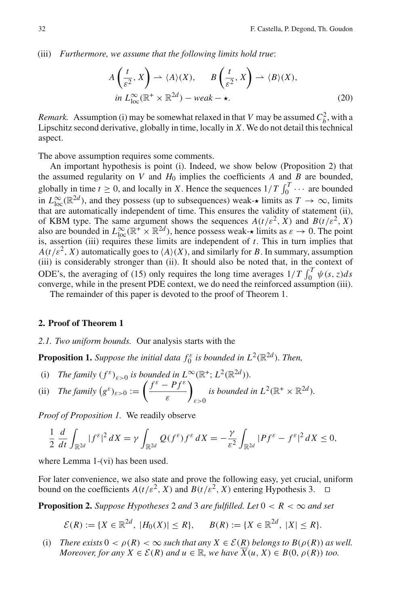(iii) *Furthermore, we assume that the following limits hold true*:

$$
A\left(\frac{t}{\varepsilon^2}, X\right) \to \langle A \rangle(X), \qquad B\left(\frac{t}{\varepsilon^2}, X\right) \to \langle B \rangle(X),
$$
  
in  $L_{\text{loc}}^{\infty}(\mathbb{R}^+ \times \mathbb{R}^{2d}) - \text{weak} \to \star.$  (20)

*Remark.* Assumption (i) may be somewhat relaxed in that *V* may be assumed  $C_b^2$ , with a Lipschitz second derivative, globally in time, locally in *X*. We do not detail this technical aspect.

The above assumption requires some comments.

An important hypothesis is point (i). Indeed, we show below (Proposition 2) that the assumed regularity on *V* and  $H_0$  implies the coefficients *A* and *B* are bounded, globally in time  $t \ge 0$ , and locally in *X*. Hence the sequences  $1/T \int_0^T \cdots$  are bounded in  $L^{\infty}_{loc}(\mathbb{R}^{2d})$ , and they possess (up to subsequences) weak- $\star$  limits as  $T \to \infty$ , limits that are automatically independent of time. This ensures the validity of statement (ii), of KBM type. The same argument shows the sequences  $A(t/\varepsilon^2, X)$  and  $B(t/\varepsilon^2, X)$ also are bounded in  $L^{\infty}_{loc}(\mathbb{R}^+ \times \mathbb{R}^{2d})$ , hence possess weak- $\star$  limits as  $\varepsilon \to 0$ . The point is, assertion (iii) requires these limits are independent of *t*. This in turn implies that  $A(t/\varepsilon^2, X)$  automatically goes to  $\langle A \rangle(X)$ , and similarly for *B*. In summary, assumption (iii) is considerably stronger than (ii). It should also be noted that, in the context of ODE's, the averaging of (15) only requires the long time averages  $1/T \int_0^T \psi(s, z) ds$ converge, while in the present PDE context, we do need the reinforced assumption (iii).

The remainder of this paper is devoted to the proof of Theorem 1.

#### **2. Proof of Theorem 1**

# *2.1. Two uniform bounds.* Our analysis starts with the

**Proposition 1.** *Suppose the initial data*  $f_0^{\varepsilon}$  *is bounded in*  $L^2(\mathbb{R}^{2d})$ *. Then,* 

(i) *The family*  $(f^{\varepsilon})_{\varepsilon>0}$  *is bounded in*  $L^{\infty}(\mathbb{R}^+; L^2(\mathbb{R}^{2d}))$ *.* 

(ii) The family 
$$
(g^{\varepsilon})_{\varepsilon>0} := \left(\frac{f^{\varepsilon} - Pf^{\varepsilon}}{\varepsilon}\right)_{\varepsilon>0}
$$
 is bounded in  $L^2(\mathbb{R}^+ \times \mathbb{R}^{2d})$ .

*Proof of Proposition 1.* We readily observe

$$
\frac{1}{2}\frac{d}{dt}\int_{\mathbb{R}^{2d}}|f^{\varepsilon}|^{2}dX=\gamma\int_{\mathbb{R}^{2d}}Q(f^{\varepsilon})f^{\varepsilon}dX=-\frac{\gamma}{\varepsilon^{2}}\int_{\mathbb{R}^{2d}}|Pf^{\varepsilon}-f^{\varepsilon}|^{2}dX\leq0,
$$

where Lemma 1-(vi) has been used.

For later convenience, we also state and prove the following easy, yet crucial, uniform bound on the coefficients  $A(t/\varepsilon^2, X)$  and  $B(t/\varepsilon^2, X)$  entering Hypothesis 3.

**Proposition 2.** *Suppose Hypotheses* 2 *and* 3 *are fulfilled. Let*  $0 < R < \infty$  *and set* 

$$
\mathcal{E}(R) := \{ X \in \mathbb{R}^{2d}, \ |H_0(X)| \le R \}, \quad B(R) := \{ X \in \mathbb{R}^{2d}, \ |X| \le R \}.
$$

(i) *There exists*  $0 < \rho(R) < \infty$  *such that any*  $X \in \mathcal{E}(R)$  *belongs to*  $B(\rho(R))$  *as well. Moreover, for any*  $X \in \mathcal{E}(R)$  *and*  $u \in \mathbb{R}$ *, we have*  $\overline{X}(u, X) \in B(0, \rho(R))$  *too.*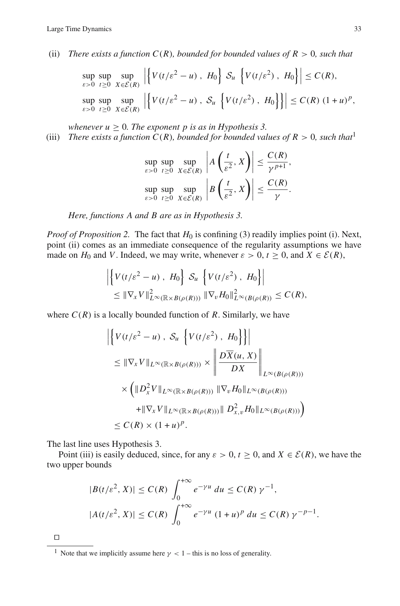(ii) *There exists a function*  $C(R)$ *, bounded for bounded values of*  $R > 0$ *, such that* 

$$
\sup_{\varepsilon>0} \sup_{t\geq 0} \sup_{X\in\mathcal{E}(R)} \left| \left\{ V(t/\varepsilon^2 - u) \, , \, H_0 \right\} \, \mathcal{S}_u \, \left\{ V(t/\varepsilon^2) \, , \, H_0 \right\} \right| \leq C(R),
$$
\n
$$
\sup_{\varepsilon>0} \sup_{t\geq 0} \sup_{X\in\mathcal{E}(R)} \left| \left\{ V(t/\varepsilon^2 - u) \, , \, \mathcal{S}_u \, \left\{ V(t/\varepsilon^2) \, , \, H_0 \right\} \right\} \right| \leq C(R) \, (1+u)^p,
$$

*whenever*  $u > 0$ *. The exponent p is as in Hypothesis 3.* 

(iii) *There exists a function*  $C(R)$ *, bounded for bounded values of*  $R > 0$ *, such that*<sup>1</sup>

$$
\sup_{\varepsilon>0} \sup_{t\geq 0} \sup_{X\in \mathcal{E}(R)} \left| A\left(\frac{t}{\varepsilon^2}, X\right) \right| \leq \frac{C(R)}{\gamma^{p+1}},
$$
\n
$$
\sup_{\varepsilon>0} \sup_{t\geq 0} \sup_{X\in \mathcal{E}(R)} \left| B\left(\frac{t}{\varepsilon^2}, X\right) \right| \leq \frac{C(R)}{\gamma}.
$$

*Here, functions A and B are as in Hypothesis 3.*

*Proof of Proposition 2.* The fact that  $H_0$  is confining (3) readily implies point (i). Next, point (ii) comes as an immediate consequence of the regularity assumptions we have made on  $H_0$  and *V*. Indeed, we may write, whenever  $\varepsilon > 0$ ,  $t \ge 0$ , and  $X \in \mathcal{E}(R)$ ,

$$
\left| \left\{ V(t/\varepsilon^2 - u) , H_0 \right\} \mathcal{S}_u \left\{ V(t/\varepsilon^2) , H_0 \right\} \right|
$$
  
\n
$$
\leq \|\nabla_x V\|_{L^\infty(\mathbb{R}\times B(\rho(R)))}^2 \|\nabla_v H_0\|_{L^\infty(B(\rho(R))}^2 \leq C(R),
$$

where  $C(R)$  is a locally bounded function of R. Similarly, we have

$$
\left| \left\{ V(t/\varepsilon^2 - u) \, , \, \mathcal{S}_u \left\{ V(t/\varepsilon^2) \, , \, H_0 \right\} \right\} \right|
$$
\n
$$
\leq \|\nabla_x V\|_{L^\infty(\mathbb{R} \times B(\rho(R)))} \times \left\| \frac{D\overline{X}(u, X)}{DX} \right\|_{L^\infty(B(\rho(R)))}
$$
\n
$$
\times \left( \|D_x^2 V\|_{L^\infty(\mathbb{R} \times B(\rho(R)))} \|\nabla_v H_0\|_{L^\infty(B(\rho(R)))}
$$
\n
$$
+ \|\nabla_x V\|_{L^\infty(\mathbb{R} \times B(\rho(R)))} \|D_{x,v}^2 H_0\|_{L^\infty(B(\rho(R)))} \right)
$$
\n
$$
\leq C(R) \times (1+u)^p.
$$

The last line uses Hypothesis 3.

Point (iii) is easily deduced, since, for any  $\varepsilon > 0$ ,  $t \ge 0$ , and  $X \in \mathcal{E}(R)$ , we have the two upper bounds

$$
|B(t/\varepsilon^2, X)| \le C(R) \int_0^{+\infty} e^{-\gamma u} du \le C(R) \gamma^{-1},
$$
  

$$
|A(t/\varepsilon^2, X)| \le C(R) \int_0^{+\infty} e^{-\gamma u} (1+u)^p du \le C(R) \gamma^{-p-1}.
$$

 $\Box$ 

<sup>&</sup>lt;sup>1</sup> Note that we implicitly assume here  $\gamma$  < 1 – this is no loss of generality.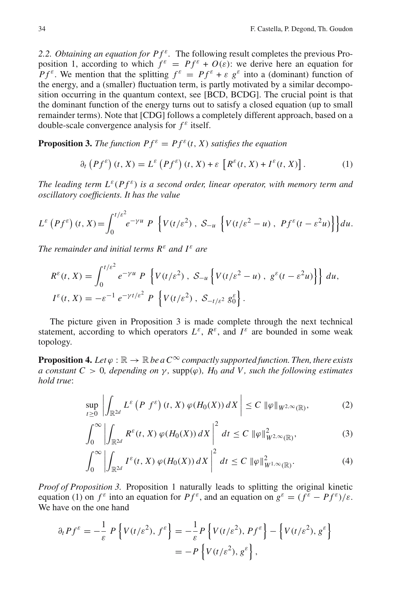*2.2. Obtaining an equation for P f<sup>ε</sup>.* The following result completes the previous Proposition 1, according to which  $f^{\varepsilon} = Pf^{\varepsilon} + O(\varepsilon)$ : we derive here an equation for *Pf<sup>ε</sup>*. We mention that the splitting  $f^{\varepsilon} = Pf^{\varepsilon} + \varepsilon g^{\varepsilon}$  into a (dominant) function of the energy, and a (smaller) fluctuation term, is partly motivated by a similar decomposition occurring in the quantum context, see [BCD, BCDG]. The crucial point is that the dominant function of the energy turns out to satisfy a closed equation (up to small remainder terms). Note that [CDG] follows a completely different approach, based on a double-scale convergence analysis for  $f^{\varepsilon}$  itself.

**Proposition 3.** *The function*  $Pf^{\varepsilon} = Pf^{\varepsilon}(t, X)$  *satisfies the equation* 

$$
\partial_t \left( P f^{\varepsilon} \right) (t, X) = L^{\varepsilon} \left( P f^{\varepsilon} \right) (t, X) + \varepsilon \left[ R^{\varepsilon} (t, X) + I^{\varepsilon} (t, X) \right]. \tag{1}
$$

*The leading term*  $L^{\varepsilon}(Pf^{\varepsilon})$  *is a second order, linear operator, with memory term and oscillatory coefficients. It has the value*

$$
L^{\varepsilon}\left(Pf^{\varepsilon}\right)(t,X) = \int_0^{t/\varepsilon^2} e^{-\gamma u} P\left\{V(t/\varepsilon^2), \ S_{-u}\left\{V(t/\varepsilon^2 - u), P f^{\varepsilon}(t-\varepsilon^2 u)\right\}\right\} du.
$$

*The remainder and initial terms*  $R^{\varepsilon}$  *and*  $I^{\varepsilon}$  *are* 

$$
R^{\varepsilon}(t, X) = \int_0^{t/\varepsilon^2} e^{-\gamma u} P \left\{ V(t/\varepsilon^2), S_{-u} \left\{ V(t/\varepsilon^2 - u), g^{\varepsilon}(t - \varepsilon^2 u) \right\} \right\} du,
$$
  

$$
I^{\varepsilon}(t, X) = -\varepsilon^{-1} e^{-\gamma t/\varepsilon^2} P \left\{ V(t/\varepsilon^2), S_{-t/\varepsilon^2} g_0^{\varepsilon} \right\}.
$$

The picture given in Proposition 3 is made complete through the next technical statement, according to which operators  $L^{\varepsilon}$ ,  $R^{\varepsilon}$ , and  $I^{\varepsilon}$  are bounded in some weak topology.

**Proposition 4.** *Let*  $\varphi$  :  $\mathbb{R} \to \mathbb{R}$  *be a*  $C^{\infty}$  *compactly supported function. Then, there exists a constant C* > 0*, depending on*  $\gamma$ *, supp(* $\varphi$ *), H<sub>0</sub> <i>and V, such the following estimates hold true*:

$$
\sup_{t\geq 0}\left|\int_{\mathbb{R}^{2d}} L^{\varepsilon}\left(P f^{\varepsilon}\right)(t,X)\,\varphi(H_{0}(X))\,dX\right|\leq C\,\|\varphi\|_{W^{2,\infty}(\mathbb{R})},\tag{2}
$$

$$
\int_0^\infty \left| \int_{\mathbb{R}^{2d}} R^\varepsilon(t, X) \, \varphi(H_0(X)) \, dX \right|^2 \, dt \le C \, \|\varphi\|_{W^{2, \infty}(\mathbb{R})}^2, \tag{3}
$$

$$
\int_0^\infty \left| \int_{\mathbb{R}^{2d}} I^\varepsilon(t, X) \, \varphi(H_0(X)) \, dX \right|^2 \, dt \le C \, \|\varphi\|_{W^{1, \infty}(\mathbb{R})}^2. \tag{4}
$$

*Proof of Proposition 3.* Proposition 1 naturally leads to splitting the original kinetic equation (1) on  $f^{\varepsilon}$  into an equation for  $P f^{\varepsilon}$ , and an equation on  $g^{\varepsilon} = (f^{\varepsilon} - P f^{\varepsilon})/\varepsilon$ . We have on the one hand

$$
\partial_t P f^{\varepsilon} = -\frac{1}{\varepsilon} P \left\{ V(t/\varepsilon^2), f^{\varepsilon} \right\} = -\frac{1}{\varepsilon} P \left\{ V(t/\varepsilon^2), P f^{\varepsilon} \right\} - \left\{ V(t/\varepsilon^2), g^{\varepsilon} \right\}
$$

$$
= -P \left\{ V(t/\varepsilon^2), g^{\varepsilon} \right\},
$$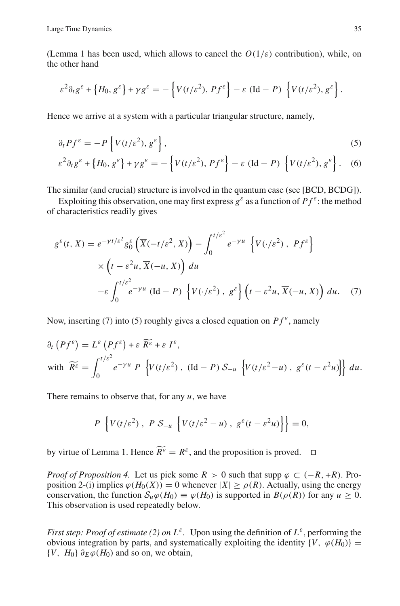(Lemma 1 has been used, which allows to cancel the  $O(1/\varepsilon)$  contribution), while, on the other hand

$$
\varepsilon^2 \partial_t g^{\varepsilon} + \left\{ H_0, g^{\varepsilon} \right\} + \gamma g^{\varepsilon} = - \left\{ V(t/\varepsilon^2), P f^{\varepsilon} \right\} - \varepsilon (\text{Id} - P) \left\{ V(t/\varepsilon^2), g^{\varepsilon} \right\}.
$$

Hence we arrive at a system with a particular triangular structure, namely,

$$
\partial_t P f^{\varepsilon} = -P \left\{ V(t/\varepsilon^2), g^{\varepsilon} \right\},\tag{5}
$$

$$
\varepsilon^2 \partial_t g^{\varepsilon} + \left\{ H_0, g^{\varepsilon} \right\} + \gamma g^{\varepsilon} = -\left\{ V(t/\varepsilon^2), P f^{\varepsilon} \right\} - \varepsilon (\text{Id} - P) \left\{ V(t/\varepsilon^2), g^{\varepsilon} \right\}. \tag{6}
$$

The similar (and crucial) structure is involved in the quantum case (see [BCD, BCDG]).

Exploiting this observation, one may first express  $g^{\varepsilon}$  as a function of  $Pf^{\varepsilon}$ : the method of characteristics readily gives

$$
g^{\varepsilon}(t, X) = e^{-\gamma t/\varepsilon^2} g_0^{\varepsilon} \left( \overline{X}(-t/\varepsilon^2, X) \right) - \int_0^{t/\varepsilon^2} e^{-\gamma u} \left\{ V(\cdot/\varepsilon^2), P f^{\varepsilon} \right\}
$$
  
 
$$
\times \left( t - \varepsilon^2 u, \overline{X}(-u, X) \right) du
$$
  
-
$$
\varepsilon \int_0^{t/\varepsilon^2} e^{-\gamma u} \left( \text{Id} - P \right) \left\{ V(\cdot/\varepsilon^2), g^{\varepsilon} \right\} \left( t - \varepsilon^2 u, \overline{X}(-u, X) \right) du. (7)
$$

Now, inserting (7) into (5) roughly gives a closed equation on  $Pf^{\varepsilon}$ , namely

$$
\partial_t (Pf^{\varepsilon}) = L^{\varepsilon} (Pf^{\varepsilon}) + \varepsilon \widetilde{R^{\varepsilon}} + \varepsilon I^{\varepsilon},
$$
  
with 
$$
\widetilde{R^{\varepsilon}} = \int_0^{t/\varepsilon^2} e^{-\gamma u} P \left\{ V(t/\varepsilon^2), (Id - P) S_{-u} \left\{ V(t/\varepsilon^2 - u), g^{\varepsilon}(t - \varepsilon^2 u) \right\} \right\} du.
$$

There remains to observe that, for any *u*, we have

$$
P\left\{V(t/\varepsilon^2),\ P\mathcal{S}_{-u}\left\{V(t/\varepsilon^2-u),\ g^\varepsilon(t-\varepsilon^2u)\right\}\right\}=0,
$$

by virtue of Lemma 1. Hence  $\widetilde{R^{\varepsilon}} = R^{\varepsilon}$ , and the proposition is proved.  $\square$ 

*Proof of Proposition 4.* Let us pick some  $R > 0$  such that supp  $\varphi \subset (-R, +R)$ . Proposition 2-(i) implies  $\varphi(H_0(X)) = 0$  whenever  $|X| \ge \rho(R)$ . Actually, using the energy conservation, the function  $S_u \varphi(H_0) \equiv \varphi(H_0)$  is supported in  $B(\rho(R))$  for any  $u \ge 0$ . This observation is used repeatedly below.

*First step: Proof of estimate (2) on*  $L^{\varepsilon}$ *.* Upon using the definition of  $L^{\varepsilon}$ , performing the obvious integration by parts, and systematically exploiting the identity  $\{V, \varphi(H_0)\}$  =  ${V, H_0} \partial_F \varphi(H_0)$  and so on, we obtain,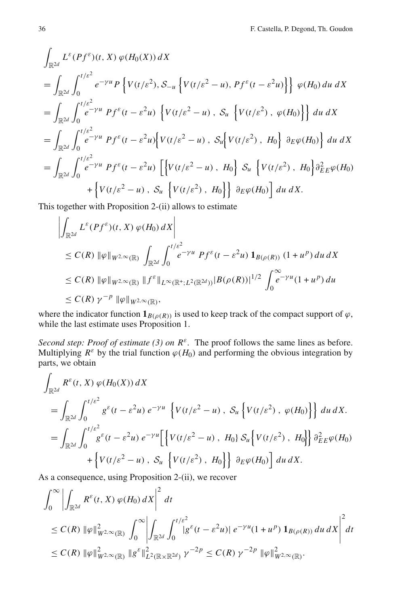$$
\int_{\mathbb{R}^{2d}} L^{\varepsilon}(Pf^{\varepsilon})(t, X) \varphi(H_{0}(X)) dX
$$
\n=
$$
\int_{\mathbb{R}^{2d}} \int_{0}^{t/\varepsilon^{2}} e^{-\gamma u} P\left\{V(t/\varepsilon^{2}), S_{-u}\left\{V(t/\varepsilon^{2} - u), Pf^{\varepsilon}(t - \varepsilon^{2}u)\right\}\right\} \varphi(H_{0}) du dX
$$
\n=
$$
\int_{\mathbb{R}^{2d}} \int_{0}^{t/\varepsilon^{2}} e^{-\gamma u} Pf^{\varepsilon}(t - \varepsilon^{2}u) \left\{V(t/\varepsilon^{2} - u), S_{u}\left\{V(t/\varepsilon^{2}), \varphi(H_{0})\right\}\right\} du dX
$$
\n=
$$
\int_{\mathbb{R}^{2d}} \int_{0}^{t/\varepsilon^{2}} e^{-\gamma u} Pf^{\varepsilon}(t - \varepsilon^{2}u) \left\{V(t/\varepsilon^{2} - u), S_{u}\left\{V(t/\varepsilon^{2}), H_{0}\right\} \partial_{E} \varphi(H_{0})\right\} du dX
$$
\n=
$$
\int_{\mathbb{R}^{2d}} \int_{0}^{t/\varepsilon^{2}} e^{-\gamma u} Pf^{\varepsilon}(t - \varepsilon^{2}u) \left[\left\{V(t/\varepsilon^{2} - u), H_{0}\right\} S_{u}\left\{V(t/\varepsilon^{2}), H_{0}\right\} \partial_{E}^{2} \varphi(H_{0})\right\} + \left\{V(t/\varepsilon^{2} - u), S_{u}\left\{V(t/\varepsilon^{2}), H_{0}\right\}\right\} \partial_{E} \varphi(H_{0})\right\} du dX.
$$

This together with Proposition 2-(ii) allows to estimate

$$
\left| \int_{\mathbb{R}^{2d}} L^{\varepsilon}(Pf^{\varepsilon})(t, X) \varphi(H_0) dX \right|
$$
  
\n
$$
\leq C(R) \|\varphi\|_{W^{2,\infty}(\mathbb{R})} \int_{\mathbb{R}^{2d}} \int_0^{t/\varepsilon^2} e^{-\gamma u} Pf^{\varepsilon}(t - \varepsilon^2 u) \mathbf{1}_{B(\rho(R))} (1 + u^p) du dX
$$
  
\n
$$
\leq C(R) \|\varphi\|_{W^{2,\infty}(\mathbb{R})} \|f^{\varepsilon}\|_{L^{\infty}(\mathbb{R}^+; L^2(\mathbb{R}^{2d}))} |B(\rho(R))|^{1/2} \int_0^{\infty} e^{-\gamma u} (1 + u^p) du
$$
  
\n
$$
\leq C(R) \gamma^{-p} \|\varphi\|_{W^{2,\infty}(\mathbb{R})},
$$

where the indicator function  $\mathbf{1}_{B(\rho(R))}$  is used to keep track of the compact support of  $\varphi$ , while the last estimate uses Proposition 1.

*Second step: Proof of estimate (3) on R<sup>ε</sup>.* The proof follows the same lines as before. Multiplying  $R^{\varepsilon}$  by the trial function  $\varphi(H_0)$  and performing the obvious integration by parts, we obtain

$$
\int_{\mathbb{R}^{2d}} R^{\varepsilon}(t, X) \varphi(H_0(X)) dX
$$
\n
$$
= \int_{\mathbb{R}^{2d}} \int_0^{t/\varepsilon^2} g^{\varepsilon}(t - \varepsilon^2 u) e^{-\gamma u} \left\{ V(t/\varepsilon^2 - u), S_u \left\{ V(t/\varepsilon^2), \varphi(H_0) \right\} \right\} du dX.
$$
\n
$$
= \int_{\mathbb{R}^{2d}} \int_0^{t/\varepsilon^2} g^{\varepsilon}(t - \varepsilon^2 u) e^{-\gamma u} \left[ \left\{ V(t/\varepsilon^2 - u), H_0 \right\} S_u \left\{ V(t/\varepsilon^2), H_0 \right\} \right] \partial_{E}^2 \varphi(H_0)
$$
\n
$$
+ \left\{ V(t/\varepsilon^2 - u), S_u \left\{ V(t/\varepsilon^2), H_0 \right\} \right\} \partial_E \varphi(H_0) du dX.
$$

As a consequence, using Proposition 2-(ii), we recover

$$
\int_0^{\infty} \left| \int_{\mathbb{R}^{2d}} R^{\varepsilon}(t, X) \, \varphi(H_0) \, dX \right|^2 \, dt
$$
\n
$$
\leq C(R) \, \|\varphi\|_{W^{2, \infty}(\mathbb{R})}^2 \, \int_0^{\infty} \left| \int_{\mathbb{R}^{2d}} \int_0^{t/\varepsilon^2} |g^{\varepsilon}(t - \varepsilon^2 u)| \, e^{-\gamma u} (1 + u^p) \, \mathbf{1}_{B(\rho(R))} \, du \, dX \right|^2 \, dt
$$
\n
$$
\leq C(R) \, \|\varphi\|_{W^{2, \infty}(\mathbb{R})}^2 \, \|g^{\varepsilon}\|_{L^2(\mathbb{R} \times \mathbb{R}^{2d})}^2 \, \gamma^{-2p} \leq C(R) \, \gamma^{-2p} \, \|\varphi\|_{W^{2, \infty}(\mathbb{R})}^2.
$$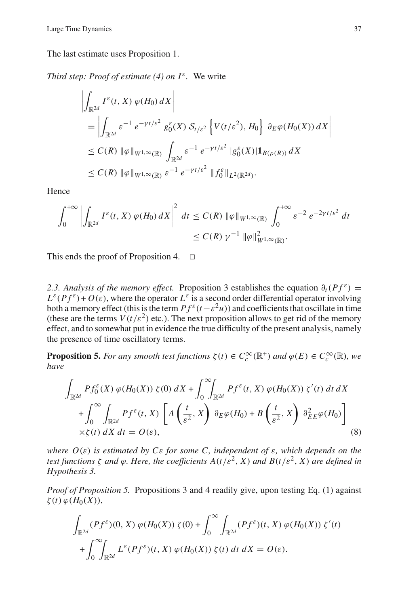The last estimate uses Proposition 1.

*Third step: Proof of estimate (4) on*  $I^{\varepsilon}$ *. We write* 

$$
\left| \int_{\mathbb{R}^{2d}} I^{\varepsilon}(t, X) \varphi(H_0) dX \right|
$$
  
\n
$$
= \left| \int_{\mathbb{R}^{2d}} \varepsilon^{-1} e^{-\gamma t/\varepsilon^2} g_0^{\varepsilon}(X) \mathcal{S}_{t/\varepsilon^2} \left\{ V(t/\varepsilon^2), H_0 \right\} \partial_E \varphi(H_0(X)) dX \right|
$$
  
\n
$$
\leq C(R) \|\varphi\|_{W^{1,\infty}(\mathbb{R})} \int_{\mathbb{R}^{2d}} \varepsilon^{-1} e^{-\gamma t/\varepsilon^2} |g_0^{\varepsilon}(X)| \mathbf{1}_{B(\rho(R))} dX
$$
  
\n
$$
\leq C(R) \|\varphi\|_{W^{1,\infty}(\mathbb{R})} \varepsilon^{-1} e^{-\gamma t/\varepsilon^2} \|f_0^{\varepsilon}\|_{L^2(\mathbb{R}^{2d})}. \right.
$$

Hence

$$
\int_0^{+\infty} \left| \int_{\mathbb{R}^{2d}} I^{\varepsilon}(t, X) \, \varphi(H_0) \, dX \right|^2 \, dt \leq C(R) \, \|\varphi\|_{W^{1,\infty}(\mathbb{R})} \int_0^{+\infty} \varepsilon^{-2} \, e^{-2\gamma t/\varepsilon^2} \, dt
$$

$$
\leq C(R) \, \gamma^{-1} \, \|\varphi\|_{W^{1,\infty}(\mathbb{R})}^2.
$$

This ends the proof of Proposition 4.  $\Box$ 

2.3. Analysis of the memory effect. Proposition 3 establishes the equation  $\partial_t(Pf^{\varepsilon}) =$  $L^{\varepsilon}(Pf^{\varepsilon})+O(\varepsilon)$ , where the operator  $L^{\varepsilon}$  is a second order differential operator involving both a memory effect (this is the term  $Pf^{\varepsilon}(t-\varepsilon^2u)$ ) and coefficients that oscillate in time (these are the terms  $V(t/\varepsilon^2)$  etc.). The next proposition allows to get rid of the memory effect, and to somewhat put in evidence the true difficulty of the present analysis, namely the presence of time oscillatory terms.

**Proposition 5.** *For any smooth test functions*  $\zeta(t) \in C_c^{\infty}(\mathbb{R}^+)$  *and*  $\varphi(E) \in C_c^{\infty}(\mathbb{R})$ *, we have*

$$
\int_{\mathbb{R}^{2d}} Pf_0^{\varepsilon}(X) \varphi(H_0(X)) \zeta(0) dX + \int_0^{\infty} \int_{\mathbb{R}^{2d}} Pf^{\varepsilon}(t, X) \varphi(H_0(X)) \zeta'(t) dt dX \n+ \int_0^{\infty} \int_{\mathbb{R}^{2d}} Pf^{\varepsilon}(t, X) \left[ A\left(\frac{t}{\varepsilon^2}, X\right) \partial_E \varphi(H_0) + B\left(\frac{t}{\varepsilon^2}, X\right) \partial_{EE}^2 \varphi(H_0) \right] \n\times \zeta(t) dX dt = O(\varepsilon),
$$
\n(8)

*where O*(ε) *is estimated by C*ε *for some C, independent of* ε*, which depends on the test functions*  $\zeta$  *and*  $\varphi$ *. Here, the coefficients*  $A(t/\varepsilon^2, X)$  *and*  $B(t/\varepsilon^2, X)$  *are defined in Hypothesis 3.*

*Proof of Proposition 5.* Propositions 3 and 4 readily give, upon testing Eq. (1) against  $\zeta(t) \varphi(H_0(X)),$ 

$$
\int_{\mathbb{R}^{2d}} (Pf^{\varepsilon})(0, X) \varphi(H_0(X)) \zeta(0) + \int_0^{\infty} \int_{\mathbb{R}^{2d}} (Pf^{\varepsilon})(t, X) \varphi(H_0(X)) \zeta'(t) + \int_0^{\infty} \int_{\mathbb{R}^{2d}} L^{\varepsilon}(Pf^{\varepsilon})(t, X) \varphi(H_0(X)) \zeta(t) dt dX = O(\varepsilon).
$$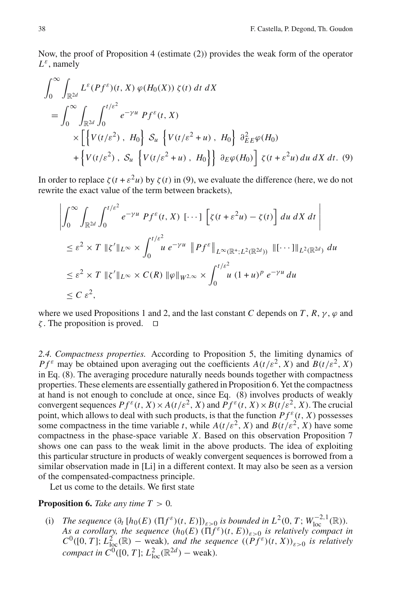Now, the proof of Proposition 4 (estimate (2)) provides the weak form of the operator *L*ε, namely

$$
\int_0^\infty \int_{\mathbb{R}^{2d}} L^{\varepsilon}(Pf^{\varepsilon})(t, X) \varphi(H_0(X)) \zeta(t) dt dX
$$
\n
$$
= \int_0^\infty \int_{\mathbb{R}^{2d}} \int_0^{t/\varepsilon^2} e^{-\gamma u} Pf^{\varepsilon}(t, X)
$$
\n
$$
\times \left[ \left\{ V(t/\varepsilon^2), H_0 \right\} \mathcal{S}_u \left\{ V(t/\varepsilon^2 + u), H_0 \right\} \frac{\partial^2_{E}}{\partial_{E}^2 \varphi(H_0)} + \left\{ V(t/\varepsilon^2), \mathcal{S}_u \left\{ V(t/\varepsilon^2 + u), H_0 \right\} \right\} \frac{\partial^2_{E}}{\partial_{E}^2 \varphi(H_0)} \frac{\partial^2_{E}}{\partial_{E}^2 \varphi(H_0)} d\mu dX dt. (9)
$$

In order to replace  $\zeta(t + \varepsilon^2 u)$  by  $\zeta(t)$  in (9), we evaluate the difference (here, we do not rewrite the exact value of the term between brackets),

$$
\left| \int_0^\infty \int_{\mathbb{R}^{2d}} \int_0^{t/\varepsilon^2} e^{-\gamma u} P f^\varepsilon(t, X) [\cdots] \left[ \zeta(t + \varepsilon^2 u) - \zeta(t) \right] du \, dX \, dt \right|
$$
  
\n
$$
\leq \varepsilon^2 \times T \, \|\zeta'\|_{L^\infty} \times \int_0^{t/\varepsilon^2} u \, e^{-\gamma u} \, \|P f^\varepsilon\|_{L^\infty(\mathbb{R}^+; L^2(\mathbb{R}^{2d}))} \, \|[\cdots]\|_{L^2(\mathbb{R}^{2d})} \, du
$$
  
\n
$$
\leq \varepsilon^2 \times T \, \| \zeta' \|_{L^\infty} \times C(R) \, \| \varphi \|_{W^{2,\infty}} \times \int_0^{t/\varepsilon^2} u \, (1 + u)^p \, e^{-\gamma u} \, du
$$
  
\n
$$
\leq C \, \varepsilon^2,
$$

where we used Propositions 1 and 2, and the last constant *C* depends on *T*,  $R$ ,  $\gamma$ ,  $\varphi$  and  $\zeta$ . The proposition is proved.  $\square$ 

*2.4. Compactness properties.* According to Proposition 5, the limiting dynamics of *P*  $f^{\varepsilon}$  may be obtained upon averaging out the coefficients  $A(t/\varepsilon^2, X)$  and  $B(t/\varepsilon^2, X)$ in Eq. (8). The averaging procedure naturally needs bounds together with compactness properties. These elements are essentially gathered in Proposition 6. Yet the compactness at hand is not enough to conclude at once, since Eq. (8) involves products of weakly convergent sequences  $Pf^{\varepsilon}(t, X) \times A(t/\varepsilon^2, X)$  and  $Pf^{\varepsilon}(t, X) \times B(t/\varepsilon^2, X)$ . The crucial point, which allows to deal with such products, is that the function  $Pf^{\varepsilon}(t, X)$  possesses some compactness in the time variable *t*, while  $A(t/\varepsilon^2, X)$  and  $B(t/\varepsilon^2, X)$  have some compactness in the phase-space variable *X*. Based on this observation Proposition 7 shows one can pass to the weak limit in the above products. The idea of exploiting this particular structure in products of weakly convergent sequences is borrowed from a similar observation made in [Li] in a different context. It may also be seen as a version of the compensated-compactness principle.

Let us come to the details. We first state

## **Proposition 6.** *Take any time*  $T > 0$ *.*

(i) *The sequence*  $(\partial_t [h_0(E) (\Pi f^{\varepsilon})(t, E)])_{\varepsilon > 0}$  *is bounded in*  $L^2(0, T; W_{loc}^{-2,1}(\mathbb{R}))$ *. As a corollary, the sequence*  $(h_0(E) (\Pi \tilde{f}^{\varepsilon})(t, E))_{\varepsilon > 0}$  *is relatively compact in*  $C^0([0, T]; L^2_{loc}(\mathbb{R})$  – weak), and the sequence  $((\widetilde{P}f^{\varepsilon})(t, X))_{\varepsilon > 0}$  is relatively *compact in*  $C^0([0, T]; L^2_{loc}(\mathbb{R}^{2d}) - \text{weak}).$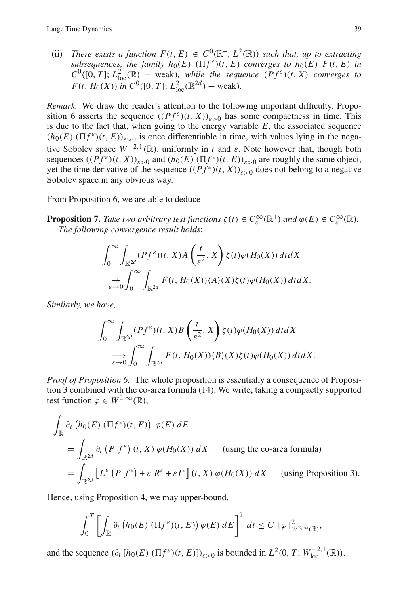(ii) *There exists a function*  $F(t, E) \in C^0(\mathbb{R}^+; L^2(\mathbb{R}))$  *such that, up to extracting subsequences, the family*  $h_0(E)$  ( $\Pi f^{\varepsilon}(t, E)$ ) *converges to*  $h_0(E)$   $F(t, E)$  *in*  $C^0([0, T]; L^2_{loc}(\mathbb{R})$  – weak), while the sequence  $(Pf^{\varepsilon})(t, X)$  converges to *F*(*t*, *H*<sub>0</sub>(*X*)) *in C*<sup>0</sup>([0, *T*]; *L*<sub>1</sub><sup>2</sup><sub>0c</sub>( $\mathbb{R}^{2d}$ ) – weak).

*Remark.* We draw the reader's attention to the following important difficulty. Proposition 6 asserts the sequence  $((Pf^{\varepsilon})(t, X))_{\varepsilon > 0}$  has some compactness in time. This is due to the fact that, when going to the energy variable  $E$ , the associated sequence  $(h_0(E) (\Pi f^{\varepsilon})(t, E))_{\varepsilon>0}$  is once differentiable in time, with values lying in the negative Sobolev space  $W^{-2,1}(\mathbb{R})$ , uniformly in *t* and  $\varepsilon$ . Note however that, though both sequences  $((Pf^{\varepsilon})(t, X))_{\varepsilon>0}$  and  $(h_0(E) (\Pi f^{\varepsilon})(t, E))_{\varepsilon>0}$  are roughly the same object, yet the time derivative of the sequence  $((Pf^{\varepsilon})(t, X))_{\varepsilon > 0}$  does not belong to a negative Sobolev space in any obvious way.

From Proposition 6, we are able to deduce

**Proposition 7.** *Take two arbitrary test functions*  $\zeta(t) \in C_c^{\infty}(\mathbb{R}^+)$  *and*  $\varphi(E) \in C_c^{\infty}(\mathbb{R})$ *. The following convergence result holds*:

$$
\int_0^\infty \int_{\mathbb{R}^{2d}} (Pf^\varepsilon)(t, X) A\left(\frac{t}{\varepsilon^2}, X\right) \zeta(t) \varphi(H_0(X)) dt dX
$$
  

$$
\to \int_0^\infty \int_{\mathbb{R}^{2d}} F(t, H_0(X)) \langle A \rangle(X) \zeta(t) \varphi(H_0(X)) dt dX.
$$

*Similarly, we have,*

$$
\int_0^\infty \int_{\mathbb{R}^{2d}} (Pf^\varepsilon)(t, X) B\left(\frac{t}{\varepsilon^2}, X\right) \zeta(t) \varphi(H_0(X)) dt dX
$$
  

$$
\longrightarrow \limits_{\varepsilon \to 0} \int_0^\infty \int_{\mathbb{R}^{2d}} F(t, H_0(X)) \langle B \rangle(X) \zeta(t) \varphi(H_0(X)) dt dX.
$$

*Proof of Proposition 6.* The whole proposition is essentially a consequence of Proposition 3 combined with the co-area formula (14). We write, taking a compactly supported test function  $\varphi \in W^{2,\infty}(\mathbb{R}),$ 

$$
\int_{\mathbb{R}} \partial_t \left( h_0(E) \left( \Pi f^{\varepsilon} \right) (t, E) \right) \varphi(E) dE
$$
\n
$$
= \int_{\mathbb{R}^{2d}} \partial_t \left( P f^{\varepsilon} \right) (t, X) \varphi(H_0(X)) dX \quad \text{(using the co-area formula)}
$$
\n
$$
= \int_{\mathbb{R}^{2d}} \left[ L^{\varepsilon} \left( P f^{\varepsilon} \right) + \varepsilon R^{\varepsilon} + \varepsilon I^{\varepsilon} \right] (t, X) \varphi(H_0(X)) dX \quad \text{(using Proposition 3).}
$$

Hence, using Proposition 4, we may upper-bound,

$$
\int_0^T \left[ \int_{\mathbb{R}} \partial_t \left( h_0(E) \left( \Pi f^{\varepsilon}(t,E) \right) \varphi(E) \, dE \right]^2 \, dt \leq C \, \|\varphi\|_{W^{2,\infty}(\mathbb{R})}^2,
$$

and the sequence  $(\partial_t [h_0(E) (\Pi f^{\varepsilon})(t, E)])_{\varepsilon > 0}$  is bounded in  $L^2(0, T; W_{loc}^{-2,1}(\mathbb{R}))$ .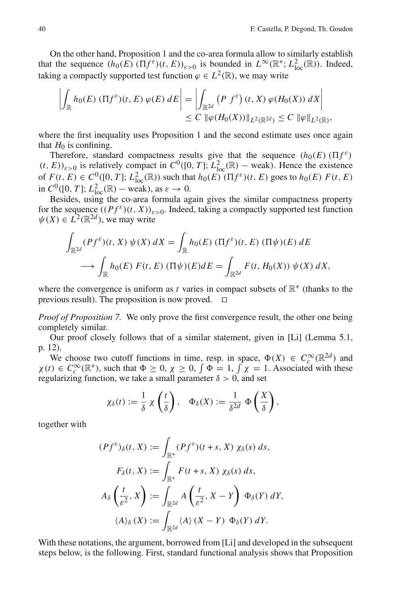On the other hand, Proposition 1 and the co-area formula allow to similarly establish that the sequence  $(h_0(E) (\Pi f^{\varepsilon})(t, E))_{\varepsilon > 0}$  is bounded in  $L^{\infty}(\mathbb{R}^+; L^2_{loc}(\mathbb{R}))$ . Indeed, taking a compactly supported test function  $\varphi \in L^2(\mathbb{R})$ , we may write

$$
\left| \int_{\mathbb{R}} h_0(E) \left( \Pi f^{\varepsilon} \right) (t, E) \varphi(E) dE \right| = \left| \int_{\mathbb{R}^{2d}} \left( P \ f^{\varepsilon} \right) (t, X) \varphi(H_0(X)) dX \right| \leq C \, \|\varphi(H_0(X))\|_{L^2(\mathbb{R}^{2d})} \leq C \, \|\varphi\|_{L^2(\mathbb{R})},
$$

where the first inequality uses Proposition 1 and the second estimate uses once again that  $H_0$  is confining.

Therefore, standard compactness results give that the sequence  $(h_0(E) \times Tf^{\epsilon})$  $(t, E)$ <sub> $\varepsilon > 0$ </sub> is relatively compact in  $C^0([0, T]; L^2_{loc}(\mathbb{R})$  – weak). Hence the existence of  $F(t, E) \in C^0([0, T]; L^2_{loc}(\mathbb{R}))$  such that  $h_0(E) (\Pi f^{\varepsilon})(t, E)$  goes to  $h_0(E) F(t, E)$ in  $C^0([0, T]; L^2_{loc}(\mathbb{R})$  – weak), as  $\varepsilon \to 0$ .

Besides, using the co-area formula again gives the similar compactness property for the sequence  $((Pf^{\varepsilon})(t, X))_{\varepsilon > 0}$ . Indeed, taking a compactly supported test function  $\psi(X) \in L^2(\mathbb{R}^{2d})$ , we may write

$$
\int_{\mathbb{R}^{2d}} (Pf^{\varepsilon})(t, X) \psi(X) dX = \int_{\mathbb{R}} h_0(E) (\Pi f^{\varepsilon})(t, E) (\Pi \psi)(E) dE
$$
  

$$
\longrightarrow \int_{\mathbb{R}} h_0(E) F(t, E) (\Pi \psi)(E) dE = \int_{\mathbb{R}^{2d}} F(t, H_0(X)) \psi(X) dX,
$$

where the convergence is uniform as *t* varies in compact subsets of  $\mathbb{R}^+$  (thanks to the previous result). The proposition is now proved.  $\Box$ 

*Proof of Proposition 7.* We only prove the first convergence result, the other one being completely similar.

Our proof closely follows that of a similar statement, given in [Li] (Lemma 5.1, p. 12).

We choose two cutoff functions in time, resp. in space,  $\Phi(X) \in C_c^{\infty}(\mathbb{R}^{2d})$  and  $\chi(t) \in C_c^{\infty}(\mathbb{R}^+)$ , such that  $\Phi \ge 0$ ,  $\chi \ge 0$ ,  $\int \Phi = 1$ ,  $\int \chi = 1$ . Associated with these regularizing function, we take a small parameter  $\delta > 0$ , and set

$$
\chi_{\delta}(t) := \frac{1}{\delta} \chi\left(\frac{t}{\delta}\right), \quad \Phi_{\delta}(X) := \frac{1}{\delta^{2d}} \Phi\left(\frac{X}{\delta}\right),
$$

together with

$$
(Pf^{\varepsilon})_{\delta}(t, X) := \int_{\mathbb{R}^{+}} (Pf^{\varepsilon})(t + s, X) \chi_{\delta}(s) ds,
$$
  

$$
F_{\delta}(t, X) := \int_{\mathbb{R}^{+}} F(t + s, X) \chi_{\delta}(s) ds,
$$
  

$$
A_{\delta} \left( \frac{t}{\varepsilon^{2}}, X \right) := \int_{\mathbb{R}^{2d}} A \left( \frac{t}{\varepsilon^{2}}, X - Y \right) \Phi_{\delta}(Y) dY,
$$
  

$$
\langle A \rangle_{\delta}(X) := \int_{\mathbb{R}^{2d}} \langle A \rangle (X - Y) \Phi_{\delta}(Y) dY.
$$

With these notations, the argument, borrowed from [Li] and developed in the subsequent steps below, is the following. First, standard functional analysis shows that Proposition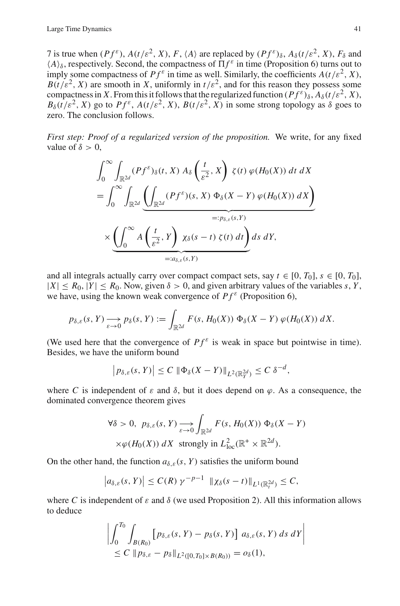7 is true when  $(Pf^{\varepsilon})$ ,  $A(t/\varepsilon^2, X)$ ,  $F$ ,  $\langle A \rangle$  are replaced by  $(Pf^{\varepsilon})_{\delta}$ ,  $A_{\delta}(t/\varepsilon^2, X)$ ,  $F_{\delta}$  and  $\langle A \rangle_{\delta}$ , respectively. Second, the compactness of  $\prod f^{\varepsilon}$  in time (Proposition 6) turns out to imply some compactness of  $Pf^{\varepsilon}$  in time as well. Similarly, the coefficients  $A(t/\varepsilon^2, X)$ ,  $B(t/\varepsilon^2, X)$  are smooth in *X*, uniformly in  $t/\varepsilon^2$ , and for this reason they possess some compactness in *X*. From this it follows that the regularized function ( $Pf^{\varepsilon}$ ) $\delta$ ,  $A_{\delta}(t/\varepsilon^2, X)$ ,  $B_{\delta}(t/\varepsilon^2, X)$  go to  $Pf^{\varepsilon}$ ,  $A(t/\varepsilon^2, X)$ ,  $B(t/\varepsilon^2, X)$  in some strong topology as  $\delta$  goes to zero. The conclusion follows.

*First step: Proof of a regularized version of the proposition.* We write, for any fixed value of  $\delta > 0$ .

$$
\int_0^\infty \int_{\mathbb{R}^{2d}} (Pf^\varepsilon)_\delta(t, X) A_\delta \left( \frac{t}{\varepsilon^2}, X \right) \zeta(t) \varphi(H_0(X)) dt dX
$$
  
= 
$$
\int_0^\infty \int_{\mathbb{R}^{2d}} \underbrace{\left( \int_{\mathbb{R}^{2d}} (Pf^\varepsilon)(s, X) \Phi_\delta(X - Y) \varphi(H_0(X)) dX \right)}_{=: p_{\delta, \varepsilon}(s, Y)}
$$
  

$$
\times \underbrace{\left( \int_0^\infty A \left( \frac{t}{\varepsilon^2}, Y \right) \chi_\delta(s - t) \zeta(t) dt \right)}_{=: a_{\delta, \varepsilon}(s, Y)} ds dY,
$$

and all integrals actually carry over compact compact sets, say  $t \in [0, T_0]$ ,  $s \in [0, T_0]$ ,  $|X| \le R_0$ ,  $|Y| \le R_0$ . Now, given  $\delta > 0$ , and given arbitrary values of the variables *s*, *Y*, we have, using the known weak convergence of  $Pf^{\varepsilon}$  (Proposition 6),

$$
p_{\delta,\varepsilon}(s,Y) \xrightarrow[\varepsilon \to 0]{} p_{\delta}(s,Y) := \int_{\mathbb{R}^{2d}} F(s,H_0(X)) \Phi_{\delta}(X-Y) \varphi(H_0(X)) dX.
$$

(We used here that the convergence of  $Pf^{\varepsilon}$  is weak in space but pointwise in time). Besides, we have the uniform bound

$$
\left| p_{\delta,\varepsilon}(s,Y) \right| \le C \, \|\Phi_{\delta}(X-Y)\|_{L^2(\mathbb{R}^{2d}_Y)} \le C \, \delta^{-d},
$$

where C is independent of  $\varepsilon$  and  $\delta$ , but it does depend on  $\varphi$ . As a consequence, the dominated convergence theorem gives

$$
\forall \delta > 0, \ p_{\delta,\varepsilon}(s, Y) \longrightarrow \int_{\mathbb{R}^{2d}} F(s, H_0(X)) \Phi_{\delta}(X - Y)
$$
  
 
$$
\times \varphi(H_0(X)) dX \text{ strongly in } L^2_{\text{loc}}(\mathbb{R}^+ \times \mathbb{R}^{2d}).
$$

On the other hand, the function  $a_{\delta,\varepsilon}(s, Y)$  satisfies the uniform bound

$$
\left|a_{\delta,\varepsilon}(s,Y)\right| \leq C(R)\,\gamma^{-p-1}\,\left\|\chi_{\delta}(s-t)\right\|_{L^{1}(\mathbb{R}^{2d}_{t})} \leq C,
$$

where *C* is independent of  $\varepsilon$  and  $\delta$  (we used Proposition 2). All this information allows to deduce

$$
\left| \int_0^{T_0} \int_{B(R_0)} \left[ p_{\delta,\varepsilon}(s, Y) - p_{\delta}(s, Y) \right] a_{\delta,\varepsilon}(s, Y) ds dY \right|
$$
  
\n
$$
\leq C \left\| p_{\delta,\varepsilon} - p_{\delta} \right\|_{L^2([0, T_0] \times B(R_0))} = o_{\delta}(1),
$$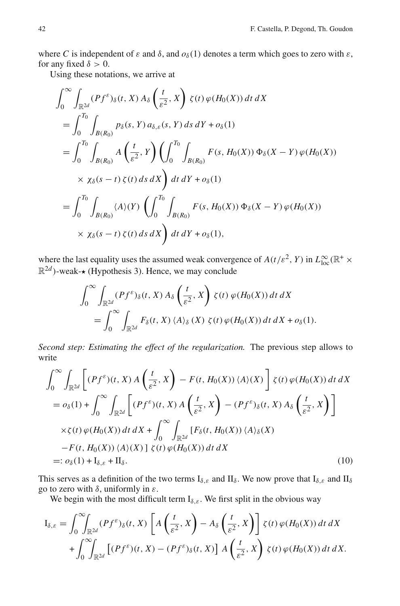where *C* is independent of  $\varepsilon$  and  $\delta$ , and  $o_{\delta}(1)$  denotes a term which goes to zero with  $\varepsilon$ , for any fixed  $\delta > 0$ .

Using these notations, we arrive at

$$
\int_{0}^{\infty} \int_{\mathbb{R}^{2d}} (Pf^{\varepsilon})_{\delta}(t, X) A_{\delta} \left( \frac{t}{\varepsilon^{2}}, X \right) \zeta(t) \varphi(H_{0}(X)) dt dX
$$
\n
$$
= \int_{0}^{T_{0}} \int_{B(R_{0})} p_{\delta}(s, Y) a_{\delta, \varepsilon}(s, Y) ds dY + o_{\delta}(1)
$$
\n
$$
= \int_{0}^{T_{0}} \int_{B(R_{0})} A \left( \frac{t}{\varepsilon^{2}}, Y \right) \left( \int_{0}^{T_{0}} \int_{B(R_{0})} F(s, H_{0}(X)) \Phi_{\delta}(X - Y) \varphi(H_{0}(X)) \right)
$$
\n
$$
\times \chi_{\delta}(s - t) \zeta(t) ds dX \right) dt dY + o_{\delta}(1)
$$
\n
$$
= \int_{0}^{T_{0}} \int_{B(R_{0})} \langle A \rangle(Y) \left( \int_{0}^{T_{0}} \int_{B(R_{0})} F(s, H_{0}(X)) \Phi_{\delta}(X - Y) \varphi(H_{0}(X)) \right)
$$
\n
$$
\times \chi_{\delta}(s - t) \zeta(t) ds dX \right) dt dY + o_{\delta}(1),
$$

where the last equality uses the assumed weak convergence of  $A(t/\varepsilon^2, Y)$  in  $L^{\infty}_{loc}(\mathbb{R}^+ \times$  $\mathbb{R}^{2d}$ )-weak- $\star$  (Hypothesis 3). Hence, we may conclude

$$
\int_0^\infty \int_{\mathbb{R}^{2d}} (Pf^\varepsilon)_\delta(t, X) A_\delta \left( \frac{t}{\varepsilon^2}, X \right) \zeta(t) \varphi(H_0(X)) dt dX
$$
  
= 
$$
\int_0^\infty \int_{\mathbb{R}^{2d}} F_\delta(t, X) \langle A \rangle_\delta(X) \zeta(t) \varphi(H_0(X)) dt dX + o_\delta(1).
$$

*Second step: Estimating the effect of the regularization.* The previous step allows to write

$$
\int_0^\infty \int_{\mathbb{R}^{2d}} \left[ (Pf^{\varepsilon})(t, X) A\left(\frac{t}{\varepsilon^2}, X\right) - F(t, H_0(X)) \langle A \rangle(X) \right] \zeta(t) \varphi(H_0(X)) dt dX
$$
  
\n
$$
= o_{\delta}(1) + \int_0^\infty \int_{\mathbb{R}^{2d}} \left[ (Pf^{\varepsilon})(t, X) A\left(\frac{t}{\varepsilon^2}, X\right) - (Pf^{\varepsilon})_{\delta}(t, X) A_{\delta}\left(\frac{t}{\varepsilon^2}, X\right) \right]
$$
  
\n
$$
\times \zeta(t) \varphi(H_0(X)) dt dX + \int_0^\infty \int_{\mathbb{R}^{2d}} \left[ F_{\delta}(t, H_0(X)) \langle A \rangle_{\delta}(X) - F(t, H_0(X)) \langle A \rangle_{\delta}(X) \right]
$$
  
\n
$$
=: o_{\delta}(1) + I_{\delta, \varepsilon} + II_{\delta}.
$$
  
\n(10)

This serves as a definition of the two terms  $I_{\delta,\varepsilon}$  and  $II_{\delta}$ . We now prove that  $I_{\delta,\varepsilon}$  and  $II_{\delta}$ go to zero with  $\delta$ , uniformly in  $\varepsilon$ .

We begin with the most difficult term  $I_{\delta,\varepsilon}$ . We first split in the obvious way

$$
I_{\delta,\varepsilon} = \int_0^\infty \int_{\mathbb{R}^{2d}} (Pf^\varepsilon)_\delta(t, X) \left[ A\left(\frac{t}{\varepsilon^2}, X\right) - A_\delta\left(\frac{t}{\varepsilon^2}, X\right) \right] \zeta(t) \, \varphi(H_0(X)) \, dt \, dX
$$

$$
+ \int_0^\infty \int_{\mathbb{R}^{2d}} \left[ (Pf^\varepsilon)(t, X) - (Pf^\varepsilon)_\delta(t, X) \right] A\left(\frac{t}{\varepsilon^2}, X\right) \, \zeta(t) \, \varphi(H_0(X)) \, dt \, dX.
$$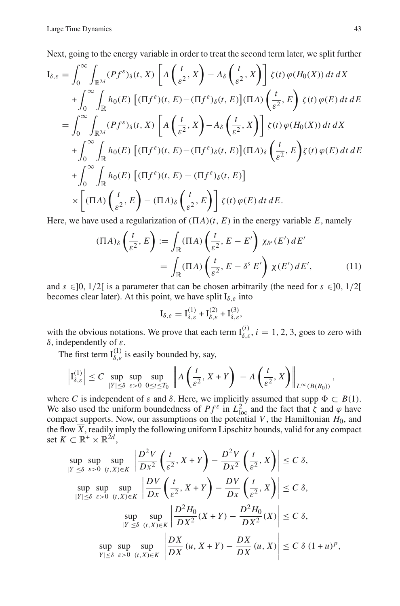Next, going to the energy variable in order to treat the second term later, we split further

$$
I_{\delta,\varepsilon} = \int_0^\infty \int_{\mathbb{R}^{2d}} (Pf^{\varepsilon})_{\delta}(t, X) \left[ A\left(\frac{t}{\varepsilon^2}, X\right) - A_{\delta}\left(\frac{t}{\varepsilon^2}, X\right) \right] \zeta(t) \varphi(H_0(X)) dt dX
$$
  
+ 
$$
\int_0^\infty \int_{\mathbb{R}} h_0(E) \left[ (\Pi f^{\varepsilon}) (t, E) - (\Pi f^{\varepsilon})_{\delta}(t, E) \right] (\Pi A) \left(\frac{t}{\varepsilon^2}, E\right) \zeta(t) \varphi(E) dt dE
$$
  
= 
$$
\int_0^\infty \int_{\mathbb{R}^{2d}} (Pf^{\varepsilon})_{\delta}(t, X) \left[ A\left(\frac{t}{\varepsilon^2}, X\right) - A_{\delta}\left(\frac{t}{\varepsilon^2}, X\right) \right] \zeta(t) \varphi(H_0(X)) dt dX
$$
  
+ 
$$
\int_0^\infty \int_{\mathbb{R}} h_0(E) \left[ (\Pi f^{\varepsilon}) (t, E) - (\Pi f^{\varepsilon})_{\delta}(t, E) \right] (\Pi A)_{\delta} \left(\frac{t}{\varepsilon^2}, E\right) \zeta(t) \varphi(E) dt dE
$$
  
+ 
$$
\int_0^\infty \int_{\mathbb{R}} h_0(E) \left[ (\Pi f^{\varepsilon}) (t, E) - (\Pi f^{\varepsilon})_{\delta}(t, E) \right]
$$
  

$$
\times \left[ (\Pi A) \left(\frac{t}{\varepsilon^2}, E\right) - (\Pi A)_{\delta} \left(\frac{t}{\varepsilon^2}, E\right) \right] \zeta(t) \varphi(E) dt dE.
$$

Here, we have used a regularization of  $(\Pi A)(t, E)$  in the energy variable *E*, namely

$$
(\Pi A)_{\delta} \left( \frac{t}{\varepsilon^2}, E \right) := \int_{\mathbb{R}} (\Pi A) \left( \frac{t}{\varepsilon^2}, E - E' \right) \chi_{\delta^s}(E') dE'
$$

$$
= \int_{\mathbb{R}} (\Pi A) \left( \frac{t}{\varepsilon^2}, E - \delta^s E' \right) \chi(E') dE', \tag{11}
$$

and  $s \in ]0, 1/2[$  is a parameter that can be chosen arbitrarily (the need for  $s \in ]0, 1/2[$ becomes clear later). At this point, we have split  $I_{\delta,\varepsilon}$  into

$$
I_{\delta,\varepsilon} = I_{\delta,\varepsilon}^{(1)} + I_{\delta,\varepsilon}^{(2)} + I_{\delta,\varepsilon}^{(3)},
$$

with the obvious notations. We prove that each term  $I_{\delta,\varepsilon}^{(i)}$ ,  $i = 1, 2, 3$ , goes to zero with δ, independently of ε.

The first term  $I_{\delta,\varepsilon}^{(1)}$  is easily bounded by, say,

$$
\left|I_{\delta,\varepsilon}^{(1)}\right| \leq C \sup_{|Y|\leq \delta} \sup_{\varepsilon>0} \sup_{0\leq t\leq T_0} \left\| A\left(\frac{t}{\varepsilon^2}, X+Y\right) - A\left(\frac{t}{\varepsilon^2}, X\right) \right\|_{L^\infty(B(R_0))},
$$

where *C* is independent of  $\varepsilon$  and  $\delta$ . Here, we implicitly assumed that supp  $\Phi \subset B(1)$ . We also used the uniform boundedness of  $Pf^{\varepsilon}$  in  $L_{\text{loc}}^2$  and the fact that  $\zeta$  and  $\varphi$  have compact supports. Now, our assumptions on the potential  $V$ , the Hamiltonian  $H_0$ , and the flow *X*, readily imply the following uniform Lipschitz bounds, valid for any compact set *K* ⊂  $\mathbb{R}^+$  ×  $\mathbb{R}^{2d}$ ,

$$
\sup_{|Y| \leq \delta} \sup_{\varepsilon > 0} \sup_{(t,X) \in K} \left| \frac{D^2 V}{D x^2} \left( \frac{t}{\varepsilon^2}, X + Y \right) - \frac{D^2 V}{D x^2} \left( \frac{t}{\varepsilon^2}, X \right) \right| \leq C \delta,
$$
\n
$$
\sup_{|Y| \leq \delta} \sup_{\varepsilon > 0} \sup_{(t,X) \in K} \left| \frac{D V}{D x} \left( \frac{t}{\varepsilon^2}, X + Y \right) - \frac{D V}{D x} \left( \frac{t}{\varepsilon^2}, X \right) \right| \leq C \delta,
$$
\n
$$
\sup_{|Y| \leq \delta} \sup_{(t,X) \in K} \sup_{|D X^2} \left| \frac{D^2 H_0}{D X^2} (X + Y) - \frac{D^2 H_0}{D X^2} (X) \right| \leq C \delta,
$$
\n
$$
\sup_{|Y| \leq \delta} \sup_{\varepsilon > 0} \sup_{(t,X) \in K} \left| \frac{D \overline{X}}{D X} (u, X + Y) - \frac{D \overline{X}}{D X} (u, X) \right| \leq C \delta \left( 1 + u \right)^p,
$$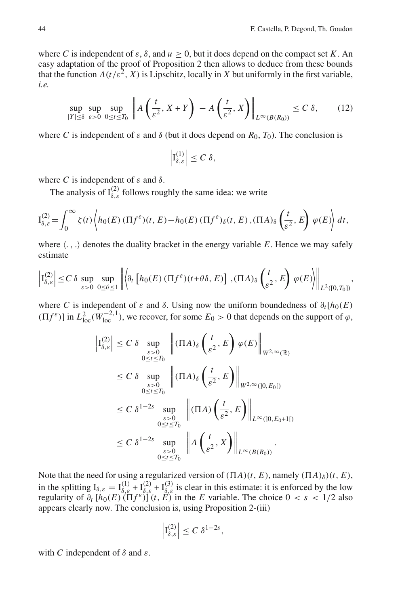where *C* is independent of  $\varepsilon$ ,  $\delta$ , and  $u > 0$ , but it does depend on the compact set *K*. An easy adaptation of the proof of Proposition 2 then allows to deduce from these bounds that the function  $A(t/\varepsilon^2, X)$  is Lipschitz, locally in X but uniformly in the first variable, *i.e.*

$$
\sup_{|Y| \le \delta} \sup_{\varepsilon > 0} \sup_{0 \le t \le T_0} \left\| A\left(\frac{t}{\varepsilon^2}, X + Y\right) - A\left(\frac{t}{\varepsilon^2}, X\right) \right\|_{L^\infty(B(R_0))} \le C \delta,\tag{12}
$$

where *C* is independent of  $\varepsilon$  and  $\delta$  (but it does depend on  $R_0$ ,  $T_0$ ). The conclusion is

$$
\left|\mathrm{I}_{\delta,\varepsilon}^{(1)}\right|\leq C\,\delta,
$$

where *C* is independent of  $\varepsilon$  and  $\delta$ .

The analysis of  $I_{\delta,\varepsilon}^{(2)}$  follows roughly the same idea: we write

$$
I_{\delta,\varepsilon}^{(2)} = \int_0^\infty \zeta(t) \left\langle h_0(E) \left( \Pi f^\varepsilon \right) (t, E) - h_0(E) \left( \Pi f^\varepsilon \right)_{\delta}(t, E) , (\Pi A)_{\delta} \left( \frac{t}{\varepsilon^2}, E \right) \varphi(E) \right\rangle dt,
$$

where  $\langle .,.\rangle$  denotes the duality bracket in the energy variable E. Hence we may safely estimate

$$
\left|\mathcal{I}_{\delta,\varepsilon}^{(2)}\right| \leq C \delta \sup_{\varepsilon>0} \sup_{0\leq\theta\leq 1} \left\|\left\langle \partial_t \left[h_0(E)\left(\Pi f^{\varepsilon}\right)(t+\theta\delta,E)\right], \left(\Pi A\right)_{\delta}\left(\frac{t}{\varepsilon^2},E\right)\varphi(E)\right\rangle\right\|_{L^2([0,T_0])},
$$

where *C* is independent of  $\varepsilon$  and  $\delta$ . Using now the uniform boundedness of  $\partial_t[h_0(E)]$  $(\Pi f^{\varepsilon})$  in  $L^2_{loc}(W^{-2,1}_{loc})$ , we recover, for some  $E_0 > 0$  that depends on the support of  $\varphi$ ,

$$
\begin{split} \left| \mathcal{I}_{\delta,\varepsilon}^{(2)} \right| &\leq C \, \delta \, \sup_{\substack{\varepsilon>0 \\ 0 \leq t \leq T_0}} \, \left\| (\Pi A)_{\delta} \left( \frac{t}{\varepsilon^2}, E \right) \varphi(E) \right\|_{W^{2,\infty}(\mathbb{R})} \\ &\leq C \, \delta \, \sup_{\substack{\varepsilon>0 \\ 0 \leq t \leq T_0}} \, \left\| (\Pi A)_{\delta} \left( \frac{t}{\varepsilon^2}, E \right) \right\|_{W^{2,\infty}(]0, E_0[)} \\ &\leq C \, \delta^{1-2s} \, \sup_{\substack{\varepsilon>0 \\ 0 \leq t \leq T_0}} \, \left\| (\Pi A) \left( \frac{t}{\varepsilon^2}, E \right) \right\|_{L^\infty([0, E_0+1[)} \\ &\leq C \, \delta^{1-2s} \, \sup_{\substack{\varepsilon>0 \\ 0 \leq t \leq T_0}} \, \left\| A \left( \frac{t}{\varepsilon^2}, X \right) \right\|_{L^\infty(B(R_0))} . \end{split}
$$

Note that the need for using a regularized version of  $(\Pi A)(t, E)$ , namely  $(\Pi A)_{\delta}(t, E)$ , in the splitting  $I_{\delta,\varepsilon} = I_{\delta,\varepsilon}^{(1)} + I_{\delta,\varepsilon}^{(2)} + I_{\delta,\varepsilon}^{(3)}$  is clear in this estimate: it is enforced by the low regularity of  $\partial_t [h_0(E)(\Pi f^{\varepsilon})](t, E)$  in the *E* variable. The choice  $0 < s < 1/2$  also appears clearly now. The conclusion is, using Proposition 2-(iii)

$$
\left|\mathrm{I}_{\delta,\varepsilon}^{(2)}\right|\leq C\,\delta^{1-2s},
$$

with *C* independent of  $\delta$  and  $\varepsilon$ .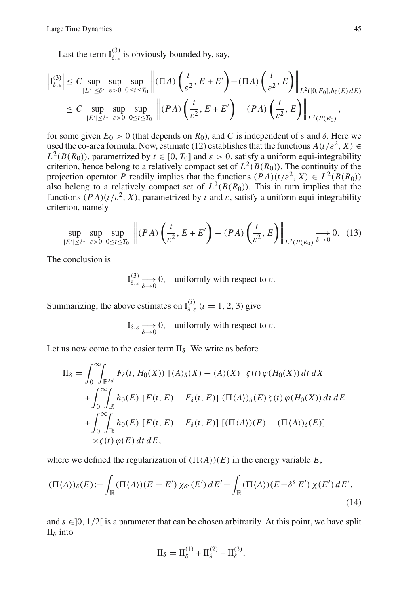Last the term  $I_{\delta,\varepsilon}^{(3)}$  is obviously bounded by, say,

$$
\left| \mathcal{I}_{\delta,\varepsilon}^{(3)} \right| \leq C \sup_{|E'| \leq \delta^s} \sup_{\varepsilon > 0} \sup_{0 \leq t \leq T_0} \left\| (\Pi A) \left( \frac{t}{\varepsilon^2}, E + E' \right) - (\Pi A) \left( \frac{t}{\varepsilon^2}, E \right) \right\|_{L^2([0, E_0], h_0(E) \, dE)}
$$
  
 
$$
\leq C \sup_{|E'| \leq \delta^s} \sup_{\varepsilon > 0} \sup_{0 \leq t \leq T_0} \left\| (PA) \left( \frac{t}{\varepsilon^2}, E + E' \right) - (PA) \left( \frac{t}{\varepsilon^2}, E \right) \right\|_{L^2(B(R_0))},
$$

for some given  $E_0 > 0$  (that depends on  $R_0$ ), and C is independent of  $\varepsilon$  and  $\delta$ . Here we used the co-area formula. Now, estimate (12) establishes that the functions  $A(t/\varepsilon^2, X) \in$  $L^2(B(R_0))$ , parametrized by  $t \in [0, T_0]$  and  $\varepsilon > 0$ , satisfy a uniform equi-integrability criterion, hence belong to a relatively compact set of  $L^2(B(R_0))$ . The continuity of the projection operator *P* readily implies that the functions  $(PA)(t/\varepsilon^2, X) \in L^2(B(R_0))$ also belong to a relatively compact set of  $L^2(B(R_0))$ . This in turn implies that the functions  $(PA)(t/\varepsilon^2, X)$ , parametrized by *t* and  $\varepsilon$ , satisfy a uniform equi-integrability criterion, namely

$$
\sup_{|E'|\leq \delta^s} \sup_{\varepsilon>0} \sup_{0\leq t\leq T_0} \left\| (PA) \left( \frac{t}{\varepsilon^2}, E + E' \right) - (PA) \left( \frac{t}{\varepsilon^2}, E \right) \right\|_{L^2(B(R_0)} \xrightarrow{\delta \to 0} 0. \tag{13}
$$

The conclusion is

 $I_{\delta,\varepsilon}^{(3)} \longrightarrow 0$ , uniformly with respect to  $\varepsilon$ .

Summarizing, the above estimates on  $I_{\delta,\varepsilon}^{(i)}$  (*i* = 1, 2, 3) give

$$
I_{\delta,\varepsilon} \longrightarrow 0, \text{ uniformly with respect to } \varepsilon.
$$

Let us now come to the easier term  $II_{\delta}$ . We write as before

$$
\Pi_{\delta} = \int_{0}^{\infty} \int_{\mathbb{R}^{2d}} F_{\delta}(t, H_{0}(X)) \left[ \langle A \rangle_{\delta}(X) - \langle A \rangle(X) \right] \zeta(t) \varphi(H_{0}(X)) dt dX
$$
  
+ 
$$
\int_{0}^{\infty} \int_{\mathbb{R}} h_{0}(E) \left[ F(t, E) - F_{\delta}(t, E) \right] (\Pi \langle A \rangle)_{\delta}(E) \zeta(t) \varphi(H_{0}(X)) dt dE
$$
  
+ 
$$
\int_{0}^{\infty} \int_{\mathbb{R}} h_{0}(E) \left[ F(t, E) - F_{\delta}(t, E) \right] \left[ (\Pi \langle A \rangle)(E) - (\Pi \langle A \rangle)_{\delta}(E) \right]
$$
  
 
$$
\times \zeta(t) \varphi(E) dt dE,
$$

where we defined the regularization of  $(\Pi \langle A \rangle)(E)$  in the energy variable *E*,

$$
(\Pi \langle A \rangle)_{\delta}(E) := \int_{\mathbb{R}} (\Pi \langle A \rangle) (E - E') \, \chi_{\delta^s}(E') \, dE' = \int_{\mathbb{R}} (\Pi \langle A \rangle) (E - \delta^s E') \, \chi(E') \, dE', \tag{14}
$$

and  $s \in ]0, 1/2[$  is a parameter that can be chosen arbitrarily. At this point, we have split  $II_{\delta}$  into

$$
II_{\delta} = II_{\delta}^{(1)} + II_{\delta}^{(2)} + II_{\delta}^{(3)},
$$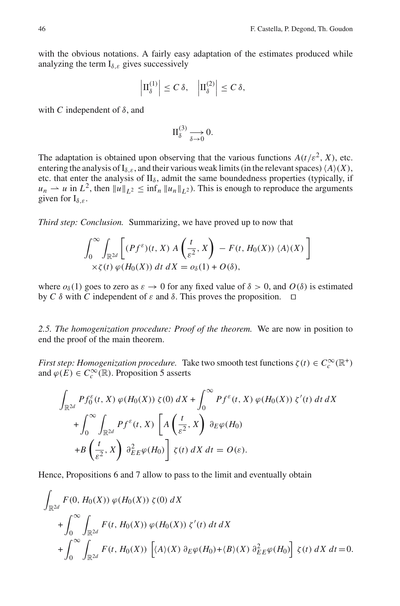with the obvious notations. A fairly easy adaptation of the estimates produced while analyzing the term  $I_{\delta,\varepsilon}$  gives successively

$$
\left|\Pi_{\delta}^{(1)}\right| \leq C \,\delta, \quad \left|\Pi_{\delta}^{(2)}\right| \leq C \,\delta,
$$

with *C* independent of  $\delta$ , and

$$
\Pi_{\delta}^{(3)} \xrightarrow[\delta \to 0]{} 0.
$$

The adaptation is obtained upon observing that the various functions  $A(t/\varepsilon^2, X)$ , etc. entering the analysis of  $I_{\delta,\varepsilon}$ , and their various weak limits (in the relevant spaces)  $\langle A \rangle(X)$ , etc. that enter the analysis of  $II_{\delta}$ , admit the same boundedness properties (typically, if  $u_n \rightharpoonup u$  in  $L^2$ , then  $||u||_{L^2} \leq \inf_n ||u_n||_{L^2}$ . This is enough to reproduce the arguments given for  $I_{\delta,\varepsilon}$ .

*Third step: Conclusion.* Summarizing, we have proved up to now that

$$
\int_0^\infty \int_{\mathbb{R}^{2d}} \left[ (Pf^\varepsilon)(t, X) A\left(\frac{t}{\varepsilon^2}, X\right) - F(t, H_0(X)) \langle A \rangle(X) \right] \times \zeta(t) \varphi(H_0(X)) dt dX = o_\delta(1) + O(\delta),
$$

where  $o_{\delta}(1)$  goes to zero as  $\varepsilon \to 0$  for any fixed value of  $\delta > 0$ , and  $O(\delta)$  is estimated by *C* δ with *C* independent of ε and δ. This proves the proposition.  $\Box$ 

*2.5. The homogenization procedure: Proof of the theorem.* We are now in position to end the proof of the main theorem.

*First step: Homogenization procedure.* Take two smooth test functions  $\zeta(t) \in C_c^{\infty}(\mathbb{R}^+)$ and  $\varphi(E) \in C_c^{\infty}(\mathbb{R})$ . Proposition 5 asserts

$$
\int_{\mathbb{R}^{2d}} Pf_0^{\varepsilon}(t, X) \varphi(H_0(X)) \zeta(0) dX + \int_0^{\infty} Pf^{\varepsilon}(t, X) \varphi(H_0(X)) \zeta'(t) dt dX + \int_0^{\infty} \int_{\mathbb{R}^{2d}} Pf^{\varepsilon}(t, X) \left[ A\left(\frac{t}{\varepsilon^2}, X\right) \partial_E \varphi(H_0) \right. + B\left(\frac{t}{\varepsilon^2}, X\right) \partial_E^2 \varphi(H_0) \left] \zeta(t) dX dt = O(\varepsilon).
$$

Hence, Propositions 6 and 7 allow to pass to the limit and eventually obtain

$$
\int_{\mathbb{R}^{2d}} F(0, H_0(X)) \varphi(H_0(X)) \zeta(0) dX
$$
  
+ 
$$
\int_0^\infty \int_{\mathbb{R}^{2d}} F(t, H_0(X)) \varphi(H_0(X)) \zeta'(t) dt dX
$$
  
+ 
$$
\int_0^\infty \int_{\mathbb{R}^{2d}} F(t, H_0(X)) \left[ \langle A \rangle(X) \partial_E \varphi(H_0) + \langle B \rangle(X) \partial_{EE}^2 \varphi(H_0) \right] \zeta(t) dX dt = 0.
$$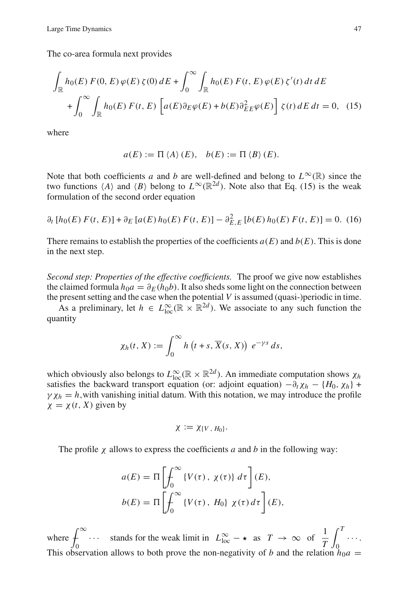The co-area formula next provides

$$
\int_{\mathbb{R}} h_0(E) F(0, E) \varphi(E) \zeta(0) dE + \int_0^{\infty} \int_{\mathbb{R}} h_0(E) F(t, E) \varphi(E) \zeta'(t) dt dE
$$

$$
+ \int_0^{\infty} \int_{\mathbb{R}} h_0(E) F(t, E) \left[ a(E) \partial_E \varphi(E) + b(E) \partial_{EE}^2 \varphi(E) \right] \zeta(t) dE dt = 0, \quad (15)
$$

where

$$
a(E) := \Pi \langle A \rangle (E), \quad b(E) := \Pi \langle B \rangle (E).
$$

Note that both coefficients *a* and *b* are well-defined and belong to  $L^{\infty}(\mathbb{R})$  since the two functions  $\langle A \rangle$  and  $\langle B \rangle$  belong to  $L^{\infty}(\mathbb{R}^{2d})$ . Note also that Eq. (15) is the weak formulation of the second order equation

$$
\partial_t [h_0(E) F(t, E)] + \partial_E [a(E) h_0(E) F(t, E)] - \partial_{E,E}^2 [b(E) h_0(E) F(t, E)] = 0.
$$
 (16)

There remains to establish the properties of the coefficients  $a(E)$  and  $b(E)$ . This is done in the next step.

*Second step: Properties of the effective coefficients.* The proof we give now establishes the claimed formula  $h_0a = \partial_E(h_0b)$ . It also sheds some light on the connection between the present setting and the case when the potential *V* is assumed (quasi-)periodic in time.

As a preliminary, let  $h \in L^{\infty}_{loc}(\mathbb{R} \times \mathbb{R}^{2d})$ . We associate to any such function the quantity

$$
\chi_h(t, X) := \int_0^\infty h\left(t + s, \overline{X}(s, X)\right) e^{-\gamma s} ds,
$$

which obviously also belongs to  $L^{\infty}_{loc}(\mathbb{R} \times \mathbb{R}^{2d})$ . An immediate computation shows  $\chi_h$ satisfies the backward transport equation (or: adjoint equation)  $-\partial_t \chi_h - \{H_0, \chi_h\} +$  $\gamma \chi_h = h$ , with vanishing initial datum. With this notation, we may introduce the profile  $\chi = \chi(t, X)$  given by

$$
\chi := \chi_{\{V\,,\,H_0\}}.
$$

The profile χ allows to express the coefficients *a* and *b* in the following way:

$$
a(E) = \Pi \left[ \int_0^\infty \{ V(\tau), \chi(\tau) \} d\tau \right] (E),
$$
  

$$
b(E) = \Pi \left[ \int_0^\infty \{ V(\tau), H_0 \} \chi(\tau) d\tau \right] (E),
$$

where  $\int_{-\infty}^{\infty}$ 0  $\cdots$  stands for the weak limit in  $L^{\infty}_{loc} - \star$  as  $T \to \infty$  of  $\frac{1}{T}$ *T*  $\int_0^T$  $\overline{0}$ ··· . This observation allows to both prove the non-negativity of *b* and the relation  $h_0a$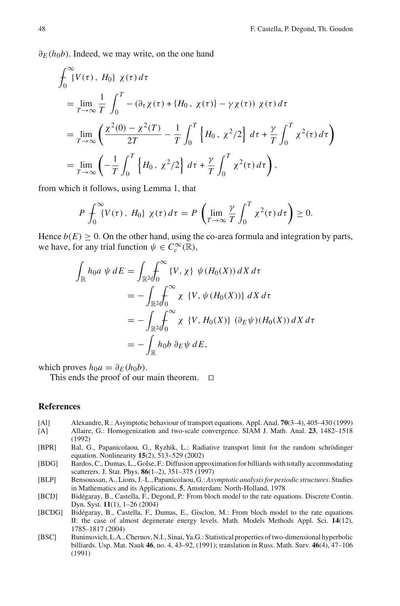$\partial_F(h_0b)$ . Indeed, we may write, on the one hand

$$
\int_{0}^{\infty} \{V(\tau), H_{0}\} \chi(\tau) d\tau
$$
\n
$$
= \lim_{T \to \infty} \frac{1}{T} \int_{0}^{T} -(\partial_{\tau} \chi(\tau) + \{H_{0}, \chi(\tau)\} - \gamma \chi(\tau)) \chi(\tau) d\tau
$$
\n
$$
= \lim_{T \to \infty} \left( \frac{\chi^{2}(0) - \chi^{2}(T)}{2T} - \frac{1}{T} \int_{0}^{T} \left\{ H_{0}, \chi^{2}/2 \right\} d\tau + \frac{\gamma}{T} \int_{0}^{T} \chi^{2}(\tau) d\tau \right)
$$
\n
$$
= \lim_{T \to \infty} \left( -\frac{1}{T} \int_{0}^{T} \left\{ H_{0}, \chi^{2}/2 \right\} d\tau + \frac{\gamma}{T} \int_{0}^{T} \chi^{2}(\tau) d\tau \right),
$$

from which it follows, using Lemma 1, that

$$
P\int_0^\infty \{V(\tau)\, ,\, H_0\}\, \chi(\tau)\, d\tau = P\left(\lim_{T\to\infty}\frac{\gamma}{T}\int_0^T \chi^2(\tau)\, d\tau\right) \geq 0.
$$

Hence  $b(E) \ge 0$ . On the other hand, using the co-area formula and integration by parts, we have, for any trial function  $\psi \in C_c^{\infty}(\mathbb{R})$ ,

$$
\int_{\mathbb{R}} h_0 a \psi dE = \int_{\mathbb{R}^2} \int_0^\infty \{V, \chi\} \psi(H_0(X)) dX d\tau
$$
  
\n
$$
= - \int_{\mathbb{R}^2} \int_0^\infty \chi \{V, \psi(H_0(X))\} dX d\tau
$$
  
\n
$$
= - \int_{\mathbb{R}^2} \int_0^\infty \chi \{V, H_0(X)\} (\partial_E \psi)(H_0(X)) dX d\tau
$$
  
\n
$$
= - \int_{\mathbb{R}} h_0 b \partial_E \psi dE,
$$

which proves  $h_0a = \partial_E(h_0b)$ .

This ends the proof of our main theorem.  $\Box$ 

# **References**

- [Al] Alexandre, R.: Asymptotic behaviour of transport equations. Appl. Anal. **70**(3–4), 405–430 (1999) [A] Allaire, G.: Homogenization and two-scale convergence. SIAM J. Math. Anal. **23**, 1482–1518 (1992)
- [BPR] Bal, G., Papanicolaou, G., Ryzhik, L.: Radiative transport limit for the random schrödinger equation. Nonlinearity **15**(2), 513–529 (2002)
- [BDG] Bardos, C., Dumas, L., Golse, F.: Diffusion approximation for billiards with totally accommodating scatterers. J. Stat. Phys. **86**(1–2), 351–375 (1997)
- [BLP] Bensoussan, A., Lions, J.-L., Papanicolaou, G.: *Asymptotic analysis for periodic structures*. Studies in Mathematics and its Applications, **5**, Amsterdam: North-Holland, 1978
- [BCD] Bidégaray, B., Castella, F., Degond, P.: From bloch model to the rate equations. Discrete Contin. Dyn. Syst. **11**(1), 1–26 (2004)
- [BCDG] Bidégaray, B., Castella, F., Dumas, E., Gisclon, M.: From bloch model to the rate equations II: the case of almost degenerate energy levels. Math. Models Methods Appl. Sci. **14**(12), 1785–1817 (2004)
- [BSC] Bunimovich, L.A., Chernov, N.I., Sinai, Ya.G.: Statistical properties of two-dimensional hyperbolic billiards. Usp. Mat. Nauk **46**, no. 4, 43–92, (1991); translation in Russ. Math. Surv. **46**(4), 47–106 (1991)